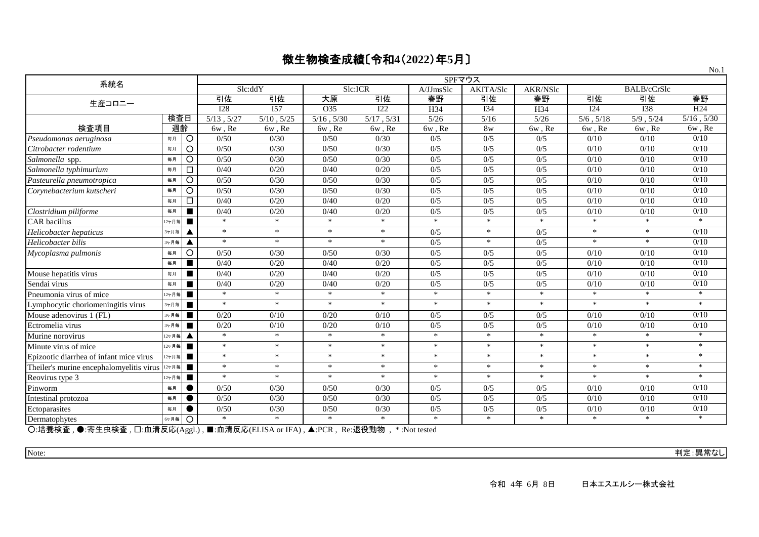|                                                                                                                                                                                                 |       |           |                                                                                                                                                  |                  |                                                                                                                                                                                                                                               |                  | SPFマウス        |            |          |                |                    | 110.1           |
|-------------------------------------------------------------------------------------------------------------------------------------------------------------------------------------------------|-------|-----------|--------------------------------------------------------------------------------------------------------------------------------------------------|------------------|-----------------------------------------------------------------------------------------------------------------------------------------------------------------------------------------------------------------------------------------------|------------------|---------------|------------|----------|----------------|--------------------|-----------------|
| 系統名                                                                                                                                                                                             |       |           | Slc:ddY                                                                                                                                          |                  | Slc:ICR                                                                                                                                                                                                                                       |                  | A/JJmsSlc     | AKITA/Slc  | AKR/NSlc |                | <b>BALB/cCrSlc</b> |                 |
| 生産コロニー                                                                                                                                                                                          |       |           | 引佐                                                                                                                                               | 引佐               | 大原                                                                                                                                                                                                                                            | 引佐               | 春野            | 引佐         | 春野       | 引佐             | 引佐                 | 春野              |
|                                                                                                                                                                                                 |       |           | $\overline{128}$                                                                                                                                 | $\overline{157}$ | O35                                                                                                                                                                                                                                           | $\overline{122}$ | H34           | <b>I34</b> | H34      | I24            | $\overline{138}$   | H24             |
|                                                                                                                                                                                                 | 検査日   |           | $5/13$ , $5/27$                                                                                                                                  | $5/10$ , $5/25$  | $5/16$ , $5/30$                                                                                                                                                                                                                               | $5/17$ , $5/31$  | $\sqrt{5/26}$ | 5/16       | $5/26$   | $5/6$ , $5/18$ | 5/9, 5/24          | $5/16$ , $5/30$ |
| 検査項目                                                                                                                                                                                            | 週齡    |           | 6w, Re                                                                                                                                           | 6w, Re           | 6w, Re                                                                                                                                                                                                                                        | 6w, Re           | 6w, Re        | 8w         | 6w, Re   | 6w, Re         | 6w, Re             | 6w, Re          |
| Pseudomonas aeruginosa                                                                                                                                                                          | 毎月    | $\circ$   | 0/50                                                                                                                                             | 0/30             | 0/50                                                                                                                                                                                                                                          | 0/30             | 0/5           | 0/5        | 0/5      | $0/10$         | $0/10$             | 0/10            |
| Citrobacter rodentium                                                                                                                                                                           | 毎月    | $\circ$   | 0/50                                                                                                                                             | 0/30             | 0/50                                                                                                                                                                                                                                          | 0/30             | 0/5           | 0/5        | 0/5      | 0/10           | 0/10               | 0/10            |
| Salmonella spp.                                                                                                                                                                                 | 每月    | $\circ$   | 0/50                                                                                                                                             | 0/30             | 0/50                                                                                                                                                                                                                                          | 0/30             | 0/5           | 0/5        | 0/5      | 0/10           | 0/10               | 0/10            |
| Salmonella typhimurium                                                                                                                                                                          | 毎月    | $\Box$    | 0/40                                                                                                                                             | 0/20             | 0/40                                                                                                                                                                                                                                          | 0/20             | 0/5           | 0/5        | 0/5      | 0/10           | 0/10               | 0/10            |
| Pasteurella pneumotropica                                                                                                                                                                       | 毎月    | $\circ$   | 0/50                                                                                                                                             | 0/30             | 0/50                                                                                                                                                                                                                                          | 0/30             | 0/5           | 0/5        | 0/5      | 0/10           | 0/10               | 0/10            |
| Corynebacterium kutscheri                                                                                                                                                                       | 每月    | $\circ$   | 0/50                                                                                                                                             | 0/30             | 0/50                                                                                                                                                                                                                                          | 0/30             | 0/5           | 0/5        | 0/5      | 0/10           | 0/10               | 0/10            |
|                                                                                                                                                                                                 | 每月    | $\Box$    | 0/40                                                                                                                                             | 0/20             | 0/40                                                                                                                                                                                                                                          | 0/20             | 0/5           | 0/5        | 0/5      | 0/10           | 0/10               | 0/10            |
| Clostridium piliforme                                                                                                                                                                           | 每月    | п         | 0/40                                                                                                                                             | 0/20             | 0/40                                                                                                                                                                                                                                          | 0/20             | 0/5           | 0/5        | 0/5      | 0/10           | 0/10               | 0/10            |
| CAR bacillus                                                                                                                                                                                    | 12ヶ月毎 | п         | $\ast$                                                                                                                                           | $\ast$           | $\ast$                                                                                                                                                                                                                                        | $\ast$           | $\ast$        | $\ast$     | $\ast$   | $\ast$         | $\ast$             | $\ast$          |
| Helicobacter hepaticus                                                                                                                                                                          | 3ヶ月毎  | ▲         | $\ast$                                                                                                                                           | $*$              | $\ast$                                                                                                                                                                                                                                        | $\ast$           | 0/5           | $\ast$     | 0/5      | $\ast$         | $\ast$             | 0/10            |
| Helicobacter bilis                                                                                                                                                                              | 3ヶ月毎  | Δ         | $\ast$                                                                                                                                           | $\ast$           | $\ast$                                                                                                                                                                                                                                        | $\ast$           | 0/5           | $\ast$     | 0/5      | $\ast$         | $\ast$             | 0/10            |
| Mycoplasma pulmonis                                                                                                                                                                             | 毎月    | O         | 0/50                                                                                                                                             | 0/30             | 0/50                                                                                                                                                                                                                                          | 0/30             | 0/5           | 0/5        | 0/5      | 0/10           | 0/10               | 0/10            |
|                                                                                                                                                                                                 | 毎月    | п         | 0/40                                                                                                                                             | 0/20             | 0/40                                                                                                                                                                                                                                          | 0/20             | 0/5           | 0/5        | 0/5      | 0/10           | 0/10               | 0/10            |
| Mouse hepatitis virus                                                                                                                                                                           | 每月    | п         | 0/40                                                                                                                                             | 0/20             | 0/40                                                                                                                                                                                                                                          | 0/20             | 0/5           | 0/5        | 0/5      | 0/10           | 0/10               | 0/10            |
| Sendai virus                                                                                                                                                                                    | 毎月    | п         | 0/40                                                                                                                                             | 0/20             | 0/40                                                                                                                                                                                                                                          | 0/20             | 0/5           | 0/5        | 0/5      | 0/10           | 0/10               | 0/10            |
| Pneumonia virus of mice                                                                                                                                                                         | 12ヶ月毎 | п         | $\ast$                                                                                                                                           | $*$              | $\ast$                                                                                                                                                                                                                                        | $\ast$           | $\ast$        | $\ast$     | $\ast$   | $\ast$         | $\ast$             | $\ast$          |
| Lymphocytic choriomeningitis virus                                                                                                                                                              | 3ヶ月毎  | п         | $\ast$                                                                                                                                           | $*$              | $*$                                                                                                                                                                                                                                           | $\ast$           | $\ast$        | $\ast$     | $\ast$   | $\ast$         | $\ast$             | $*$             |
| Mouse adenovirus 1 (FL)                                                                                                                                                                         | 3ヶ月毎  | п         | 0/20                                                                                                                                             | 0/10             | 0/20                                                                                                                                                                                                                                          | 0/10             | 0/5           | 0/5        | 0/5      | 0/10           | 0/10               | 0/10            |
| Ectromelia virus                                                                                                                                                                                | 3ヶ月毎  | п         | 0/20                                                                                                                                             | 0/10             | 0/20                                                                                                                                                                                                                                          | 0/10             | 0/5           | 0/5        | 0/5      | 0/10           | 0/10               | 0/10            |
| Murine norovirus                                                                                                                                                                                | 12ヶ月毎 |           | $\ast$                                                                                                                                           | $\ast$           | $\ast$                                                                                                                                                                                                                                        | $\ast$           | $\ast$        | $\ast$     | $\ast$   | $\ast$         | $\ast$             | $\ast$          |
| Minute virus of mice                                                                                                                                                                            | 12ヶ月毎 | п         | $\ast$                                                                                                                                           | $*$              | $\ast$                                                                                                                                                                                                                                        | $\ast$           | $\ast$        | $*$        | $\ast$   | $\ast$         | $\ast$             | $\ast$          |
| Epizootic diarrhea of infant mice virus                                                                                                                                                         | 12ヶ月毎 | п         | $\ast$                                                                                                                                           | $\ast$           | $\ast$                                                                                                                                                                                                                                        | $*$              | $\ast$        | $\ast$     | $\ast$   | $\ast$         | $\ast$             | $*$             |
| Theiler's murine encephalomyelitis virus                                                                                                                                                        | 12ヶ月毎 | п         | $\ast$                                                                                                                                           | $\ast$           | $\ast$                                                                                                                                                                                                                                        | $\ast$           | $\ast$        | $\ast$     | $\ast$   | $\ast$         | $\ast$             | $*$             |
| Reovirus type 3                                                                                                                                                                                 | 12ヶ月毎 | п         | $\ast$                                                                                                                                           | $*$              | $\ast$                                                                                                                                                                                                                                        | $\ast$           | $\ast$        | $\ast$     | $*$      | $\ast$         | $*$                | $\ast$          |
| Pinworm                                                                                                                                                                                         | 每月    | $\bullet$ | 0/50                                                                                                                                             | 0/30             | 0/50                                                                                                                                                                                                                                          | 0/30             | 0/5           | 0/5        | 0/5      | 0/10           | 0/10               | 0/10            |
| Intestinal protozoa                                                                                                                                                                             | 毎月    | ●         | 0/50                                                                                                                                             | 0/30             | 0/50                                                                                                                                                                                                                                          | 0/30             | 0/5           | 0/5        | 0/5      | 0/10           | 0/10               | 0/10            |
| Ectoparasites                                                                                                                                                                                   | 毎月    | e         | 0/50                                                                                                                                             | 0/30             | 0/50                                                                                                                                                                                                                                          | 0/30             | 0/5           | 0/5        | 0/5      | 0/10           | 0/10               | 0/10            |
| Dermatophytes<br>$\bigcap$ $\bigcup_{n=1}^{\infty}$ $\bigcup_{n=1}^{\infty}$ $\bigcup_{n=1}^{\infty}$ $\bigcup_{n=1}^{\infty}$ $\bigcup_{n=1}^{\infty}$ $\bigcup_{n=1}^{\infty}$<br>□ 而注口亡/* □\ | 6ヶ月毎  | $\circ$   | $\ast$<br>$\blacksquare$ $\blacksquare$ $\blacksquare$ $\blacksquare$ $\blacksquare$ $\blacksquare$ $\blacksquare$ $\blacksquare$ $\blacksquare$ | $*$              | $\ast$<br>$IF(A)$ $\overrightarrow{A}$ $DCD$ $D$ $\overrightarrow{B}$ $\overrightarrow{B}$ $\overrightarrow{B}$ $\overrightarrow{B}$ $\overrightarrow{B}$ $\overrightarrow{C}$ $\overrightarrow{A}$ $\overrightarrow{C}$ $\overrightarrow{C}$ | $\ast$           | $*$           | $\ast$     | $\ast$   | $\ast$         | $\ast$             | $\ast$          |

○:培養検査 , ●:寄生虫検査 , □:血清反応(Aggl.) , ■:血清反応(ELISA or IFA) , ▲:PCR , Re:退役動物 , \* :Not tested

 $N_0$  1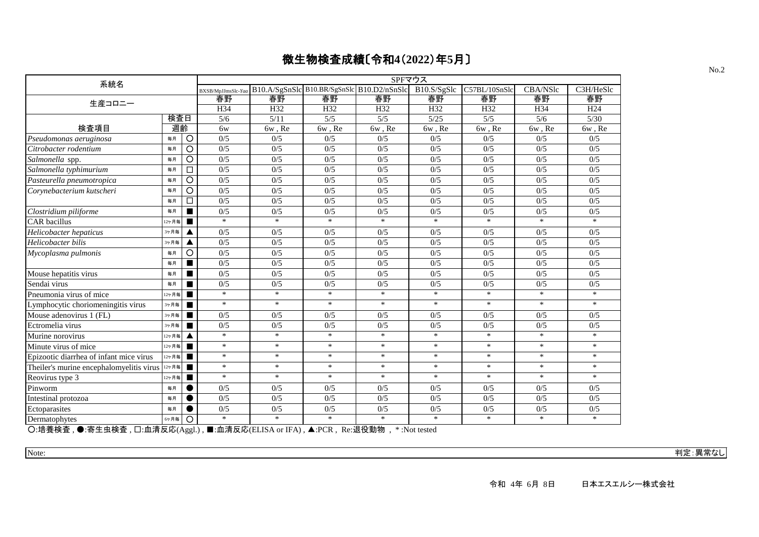| 系統名                                                                                                                                                                                                                                                                                                                                                                                                  |       |                |                    |                                            |                               | SPFマウス                |                 |               |          |                 |
|------------------------------------------------------------------------------------------------------------------------------------------------------------------------------------------------------------------------------------------------------------------------------------------------------------------------------------------------------------------------------------------------------|-------|----------------|--------------------|--------------------------------------------|-------------------------------|-----------------------|-----------------|---------------|----------|-----------------|
|                                                                                                                                                                                                                                                                                                                                                                                                      |       |                | BXSB/MpJJmsSlc-Yaa | B10.A/SgSnSlc B10.BR/SgSnSlc B10.D2/nSnSlc |                               |                       | B10.S/SgSlc     | C57BL/10SnSlc | CBA/NSlc | C3H/HeSlc       |
| 生産コロニー                                                                                                                                                                                                                                                                                                                                                                                               |       |                | 春野                 | 春野                                         | 春野                            | 春野                    | 春野              | 春野            | 春野       | 春野              |
|                                                                                                                                                                                                                                                                                                                                                                                                      |       |                | H34                | H32                                        | H32                           | H <sub>32</sub>       | H <sub>32</sub> | H32           | H34      | H <sub>24</sub> |
|                                                                                                                                                                                                                                                                                                                                                                                                      | 検査日   |                | 5/6                | $\frac{5}{11}$                             | 5/5                           | $\overline{5/5}$      | $\sqrt{5/25}$   | 5/5           | 5/6      | 5/30            |
| 検査項目                                                                                                                                                                                                                                                                                                                                                                                                 | 週齡    |                | 6w                 | 6w, Re                                     | 6w, Re                        | 6w, Re                | 6w, Re          | 6w, Re        | 6w, Re   | 6w, Re          |
| Pseudomonas aeruginosa                                                                                                                                                                                                                                                                                                                                                                               | 毎月    | $\circ$        | 0/5                | 0/5                                        | 0/5                           | 0/5                   | 0/5             | 0/5           | 0/5      | 0/5             |
| Citrobacter rodentium                                                                                                                                                                                                                                                                                                                                                                                | 毎月    | $\circ$        | 0/5                | 0/5                                        | 0/5                           | 0/5                   | 0/5             | 0/5           | 0/5      | 0/5             |
| Salmonella spp.                                                                                                                                                                                                                                                                                                                                                                                      | 毎月    | $\circ$        | 0/5                | 0/5                                        | 0/5                           | 0/5                   | 0/5             | 0/5           | 0/5      | 0/5             |
| Salmonella typhimurium                                                                                                                                                                                                                                                                                                                                                                               | 毎月    | □              | 0/5                | 0/5                                        | 0/5                           | 0/5                   | 0/5             | 0/5           | 0/5      | 0/5             |
| Pasteurella pneumotropica                                                                                                                                                                                                                                                                                                                                                                            | 毎月    | O              | 0/5                | 0/5                                        | 0/5                           | 0/5                   | 0/5             | 0/5           | 0/5      | 0/5             |
| Corynebacterium kutscheri                                                                                                                                                                                                                                                                                                                                                                            | 毎月    | O              | 0/5                | 0/5                                        | 0/5                           | 0/5                   | 0/5             | 0/5           | 0/5      | 0/5             |
|                                                                                                                                                                                                                                                                                                                                                                                                      | 每月    | □              | 0/5                | 0/5                                        | 0/5                           | 0/5                   | 0/5             | 0/5           | 0/5      | 0/5             |
| Clostridium piliforme                                                                                                                                                                                                                                                                                                                                                                                | 毎月    | $\blacksquare$ | 0/5                | 0/5                                        | 0/5                           | 0/5                   | 0/5             | 0/5           | 0/5      | 0/5             |
| <b>CAR</b> bacillus                                                                                                                                                                                                                                                                                                                                                                                  | 12ヶ月毎 | $\blacksquare$ | $\ast$             | $*$                                        | $\ast$                        | $\ast$                | $*$             | $\ast$        | $\ast$   | $*$             |
| Helicobacter hepaticus                                                                                                                                                                                                                                                                                                                                                                               | 3ヶ月毎  | ▲              | 0/5                | 0/5                                        | 0/5                           | 0/5                   | 0/5             | 0/5           | 0/5      | 0/5             |
| Helicobacter bilis                                                                                                                                                                                                                                                                                                                                                                                   | 3ヶ月毎  | ▲              | 0/5                | 0/5                                        | 0/5                           | 0/5                   | 0/5             | 0/5           | 0/5      | 0/5             |
| Mycoplasma pulmonis                                                                                                                                                                                                                                                                                                                                                                                  | 每月    | O              | 0/5                | 0/5                                        | 0/5                           | 0/5                   | 0/5             | 0/5           | 0/5      | 0/5             |
|                                                                                                                                                                                                                                                                                                                                                                                                      | 毎月    | $\blacksquare$ | 0/5                | 0/5                                        | 0/5                           | 0/5                   | 0/5             | 0/5           | 0/5      | 0/5             |
| Mouse hepatitis virus                                                                                                                                                                                                                                                                                                                                                                                | 毎月    | п              | 0/5                | 0/5                                        | 0/5                           | 0/5                   | 0/5             | 0/5           | 0/5      | 0/5             |
| Sendai virus                                                                                                                                                                                                                                                                                                                                                                                         | 毎月    | $\blacksquare$ | 0/5                | 0/5                                        | 0/5                           | 0/5                   | 0/5             | 0/5           | 0/5      | 0/5             |
| Pneumonia virus of mice                                                                                                                                                                                                                                                                                                                                                                              | 12ヶ月毎 | п              | $*$                | $\ast$                                     | $\ast$                        | $\ast$                | $\ast$          | $\ast$        | $\ast$   | $\ast$          |
| Lymphocytic choriomeningitis virus                                                                                                                                                                                                                                                                                                                                                                   | 3ヶ月毎  | п              | $\ast$             | $*$                                        | $\ast$                        | $*$                   | $\ast$          | $\ast$        | $\ast$   | $*$             |
| Mouse adenovirus 1 (FL)                                                                                                                                                                                                                                                                                                                                                                              | 3ヶ月毎  | п              | 0/5                | 0/5                                        | 0/5                           | 0/5                   | 0/5             | 0/5           | 0/5      | 0/5             |
| Ectromelia virus                                                                                                                                                                                                                                                                                                                                                                                     | 3ヶ月毎  | п              | 0/5                | 0/5                                        | 0/5                           | 0/5                   | 0/5             | 0/5           | 0/5      | 0/5             |
| Murine norovirus                                                                                                                                                                                                                                                                                                                                                                                     | 12ヶ月毎 | ▲              | $\ast$             | $*$                                        | $\ast$                        | $\ast$                | $\ast$          | $\ast$        | $\ast$   | $\ast$          |
| Minute virus of mice                                                                                                                                                                                                                                                                                                                                                                                 | 12ヶ月毎 | $\blacksquare$ | $\ast$             | $\ast$                                     | $\ast$                        | $\ast$                | $\ast$          | $\ast$        | $\ast$   | $\ast$          |
| Epizootic diarrhea of infant mice virus                                                                                                                                                                                                                                                                                                                                                              | 12ヶ月毎 | $\blacksquare$ | $\ast$             | $*$                                        | $\ast$                        | $*$                   | $\ast$          | $*$           | $\ast$   | $*$             |
| Theiler's murine encephalomyelitis virus $\frac{12}{7}$                                                                                                                                                                                                                                                                                                                                              |       | п              | $\ast$             | $\ast$                                     | $\ast$                        | $\ast$                | $\ast$          | $\ast$        | $*$      | $*$             |
| Reovirus type 3                                                                                                                                                                                                                                                                                                                                                                                      | 12ヶ月毎 |                | $\ast$             | $\ast$                                     | $\ast$                        | $\ast$                | $\ast$          | $\ast$        | $\ast$   | $\ast$          |
| Pinworm                                                                                                                                                                                                                                                                                                                                                                                              | 毎月    |                | 0/5                | 0/5                                        | 0/5                           | 0/5                   | 0/5             | 0/5           | 0/5      | 0/5             |
| Intestinal protozoa                                                                                                                                                                                                                                                                                                                                                                                  | 每月    | $\bullet$      | 0/5                | 0/5                                        | 0/5                           | 0/5                   | 0/5             | 0/5           | 0/5      | 0/5             |
| Ectoparasites                                                                                                                                                                                                                                                                                                                                                                                        | 毎月    | ●              | 0/5                | 0/5                                        | 0/5                           | 0/5                   | 0/5             | 0/5           | 0/5      | 0/5             |
| Dermatophytes                                                                                                                                                                                                                                                                                                                                                                                        | 6ヶ月毎  | $\circ$        | $\ast$             | $\ast$                                     | $\ast$                        | $\ast$                | $\ast$          | $\ast$        | $\ast$   | $\ast$          |
| $\overline{\bigcirc}$ $\overline{u}$ $\overline{u}$ $\overline{u}$ $\overline{u}$ $\overline{u}$ $\overline{u}$ $\overline{u}$ $\overline{u}$ $\overline{u}$ $\overline{u}$ $\overline{u}$ $\overline{u}$ $\overline{u}$ $\overline{u}$ $\overline{u}$ $\overline{u}$ $\overline{u}$ $\overline{u}$ $\overline{u}$ $\overline{u}$ $\overline{u}$ $\overline{u}$ $\overline{u}$ $\overline$<br>电压性压电器 |       | $\mathbf{1}$   | - 6注CCCCIOL        | <b>TITAN</b>                               | $\lambda$ non<br>$\mathbf{r}$ | *日 4几 壬上 #左<br>46.337 |                 |               |          |                 |

○:培養検査 , ●:寄生虫検査 , □:血清反応(Aggl.) , ■:血清反応(ELISA or IFA) , ▲:PCR , Re:退役動物 , \* :Not tested

Note: 判定:異常なし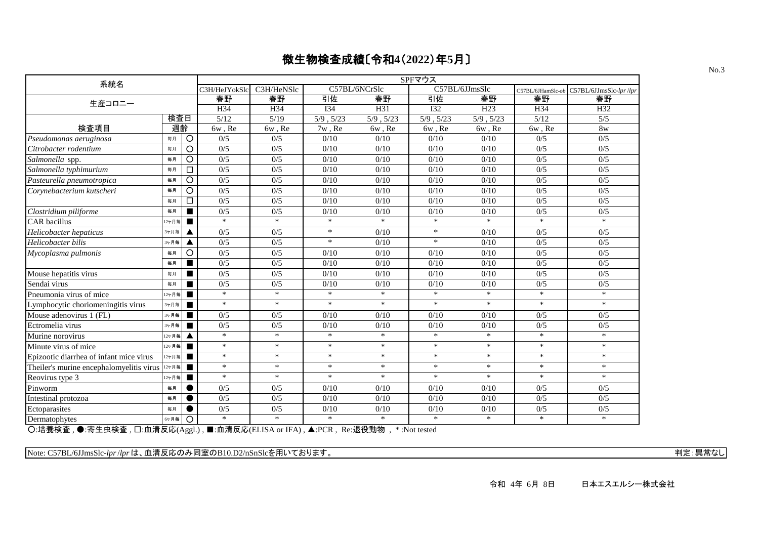| 系統名                                                                                      |       |                |               |            |               |           | SPFマウス                    |           |                   |                        |
|------------------------------------------------------------------------------------------|-------|----------------|---------------|------------|---------------|-----------|---------------------------|-----------|-------------------|------------------------|
|                                                                                          |       |                | C3H/HeJYokSlc | C3H/HeNSlc | C57BL/6NCrSlc |           | C57BL/6JJmsSlc            |           | C57BL/6JHamSlc-ob | C57BL/6JJmsSlc-lpr/lpr |
| 生産コロニー                                                                                   |       |                | 春野            | 春野         | 引佐            | 春野        | 引佐                        | 春野        | 春野                | 春野                     |
|                                                                                          |       |                | H34           | H34        | <b>I34</b>    | H31       | $\overline{132}$          | H23       | H34               | H32                    |
|                                                                                          | 検査日   |                | 5/12          | 5/19       | 5/9, 5/23     | 5/9, 5/23 | 5/9, 5/23                 | 5/9, 5/23 | 5/12              | 5/5                    |
| 検査項目                                                                                     | 週齡    |                | 6w, Re        | 6w, Re     | $7w$ , Re     | 6w, Re    | 6w, Re                    | 6w, Re    | 6w, Re            | 8 <sub>w</sub>         |
| Pseudomonas aeruginosa                                                                   | 毎月    | $\circ$        | 0/5           | 0/5        | 0/10          | 0/10      | 0/10                      | 0/10      | 0/5               | 0/5                    |
| Citrobacter rodentium                                                                    | 毎月    | $\circ$        | 0/5           | 0/5        | 0/10          | 0/10      | 0/10                      | 0/10      | 0/5               | 0/5                    |
| Salmonella spp.                                                                          | 毎月    | O              | 0/5           | 0/5        | 0/10          | $0/10$    | 0/10                      | 0/10      | 0/5               | 0/5                    |
| Salmonella typhimurium                                                                   | 毎月    | □              | 0/5           | 0/5        | 0/10          | 0/10      | 0/10                      | 0/10      | 0/5               | 0/5                    |
| Pasteurella pneumotropica                                                                | 毎月    | O              | 0/5           | 0/5        | 0/10          | 0/10      | 0/10                      | 0/10      | 0/5               | 0/5                    |
| Corynebacterium kutscheri                                                                | 毎月    | O              | 0/5           | 0/5        | 0/10          | 0/10      | 0/10                      | 0/10      | 0/5               | 0/5                    |
|                                                                                          | 毎月    | □              | 0/5           | 0/5        | 0/10          | 0/10      | 0/10                      | 0/10      | 0/5               | 0/5                    |
| Clostridium piliforme                                                                    | 毎月    |                | 0/5           | 0/5        | 0/10          | 0/10      | 0/10                      | 0/10      | 0/5               | 0/5                    |
| <b>CAR</b> bacillus                                                                      | 12ヶ月毎 |                | $\ast$        | $\ast$     | $\ast$        | $\ast$    | $\ast$                    | $\ast$    | $\ast$            | $\ast$                 |
| Helicobacter hepaticus                                                                   | 3ヶ月毎  |                | 0/5           | 0/5        | $\ast$        | 0/10      | $\ast$                    | 0/10      | 0/5               | 0/5                    |
| Helicobacter bilis                                                                       | 3ヶ月毎  | ▲              | 0/5           | 0/5        | $*$           | 0/10      | $\ast$                    | 0/10      | 0/5               | 0/5                    |
| Mycoplasma pulmonis                                                                      | 毎月    | O              | 0/5           | 0/5        | 0/10          | 0/10      | 0/10                      | 0/10      | 0/5               | 0/5                    |
|                                                                                          | 毎月    | $\blacksquare$ | 0/5           | 0/5        | 0/10          | 0/10      | 0/10                      | 0/10      | 0/5               | 0/5                    |
| Mouse hepatitis virus                                                                    | 毎月    |                | 0/5           | 0/5        | 0/10          | 0/10      | 0/10                      | 0/10      | 0/5               | 0/5                    |
| Sendai virus                                                                             | 每月    |                | 0/5           | 0/5        | 0/10          | 0/10      | 0/10                      | 0/10      | 0/5               | 0/5                    |
| Pneumonia virus of mice                                                                  | 12ヶ月毎 |                | $\ast$        | $\ast$     | $\ast$        | $\ast$    | $\ast$                    | $\ast$    | $\ast$            | $\ast$                 |
| Lymphocytic choriomeningitis virus                                                       | 3ヶ月毎  |                | $\ast$        | $\ast$     | $*$           | $\ast$    | $\ast$                    | $\ast$    | $\ast$            | $\ast$                 |
| Mouse adenovirus 1 (FL)                                                                  | 3ヶ月毎  |                | 0/5           | 0/5        | 0/10          | 0/10      | 0/10                      | 0/10      | 0/5               | 0/5                    |
| Ectromelia virus                                                                         | 3ヶ月毎  |                | 0/5           | 0/5        | 0/10          | 0/10      | 0/10                      | 0/10      | 0/5               | 0/5                    |
| Murine norovirus                                                                         | 12ヶ月毎 |                | $\ast$        | $\ast$     | $\ast$        | $\ast$    | $\ast$                    | $\ast$    | $\ast$            | $\ast$                 |
| Minute virus of mice                                                                     | 12ヶ月毎 | $\blacksquare$ | $\ast$        | $\ast$     | $\ast$        | $\ast$    | $\ast$                    | $\ast$    | $\ast$            | $\ast$                 |
| Epizootic diarrhea of infant mice virus                                                  | 12ヶ月毎 | $\blacksquare$ | $\ast$        | $\ast$     | $\ast$        | $\ast$    | $\ast$                    | $\ast$    | $\ast$            | $\ast$                 |
| Theiler's murine encephalomyelitis virus                                                 | 12ヶ月毎 | $\blacksquare$ | $\ast$        | $\ast$     | $*$           | $\ast$    | $\ast$                    | $\ast$    | $\ast$            | $\ast$                 |
| Reovirus type 3                                                                          | 12ヶ月毎 |                | $\ast$        | $\ast$     | $*$           | $\ast$    | $\ast$                    | $\ast$    | $\ast$            | $\ast$                 |
| Pinworm                                                                                  | 每月    |                | 0/5           | 0/5        | 0/10          | 0/10      | 0/10                      | 0/10      | 0/5               | 0/5                    |
| Intestinal protozoa                                                                      | 毎月    |                | 0/5           | 0/5        | 0/10          | 0/10      | 0/10                      | 0/10      | 0/5               | 0/5                    |
| Ectoparasites                                                                            | 毎月    |                | 0/5           | 0/5        | 0/10          | 0/10      | 0/10                      | 0/10      | 0/5               | 0/5                    |
| Dermatophytes                                                                            | 6ヶ月毎  | $\circ$        | $\ast$        | $\ast$     | $\ast$        | $\ast$    | $\ast$                    | $\ast$    | $\ast$            | $\ast$                 |
| $\bigcap$ 拉美栓木 $\bigtriangleup$ 宝井市栓木 $\bigcap$ 而洼口庄(* 1) ■ 而洼口庄(ELIGA IEA) A DOD D 沮処乱物 |       |                |               |            |               |           | $-4$ MT $+$ $+$ $ +$ $ 1$ |           |                   |                        |

○:培養検査 , ●:寄生虫検査 , □:血清反応(Aggl.) , ■:血清反応(ELISA or IFA) , ▲:PCR , Re:退役動物 , \* :Not tested

Note: C57BL/6JJmsSlc-*lpr*/*lpr* は、血清反応のみ同室のB10.D2/nSnSlcを用いております。 インター・ファイン インター・コンター アプリケーション 判定:異常なし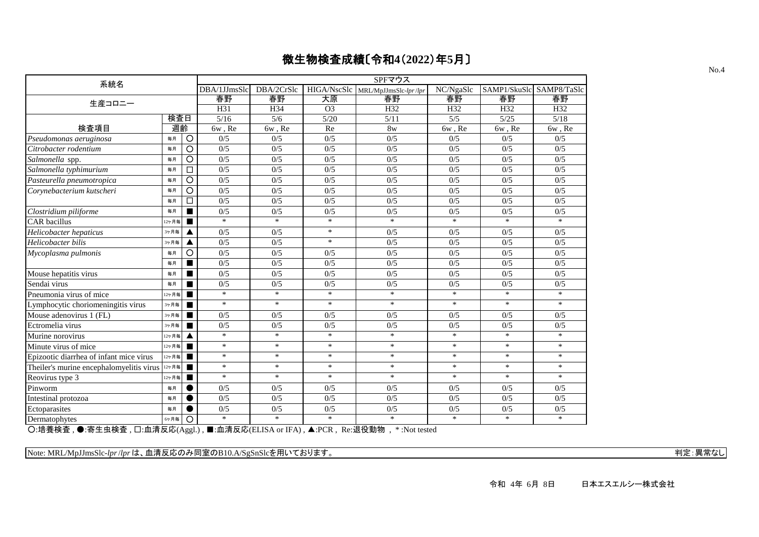| 系統名                                      |       |                |              |            |                                     | SPFマウス                            |           |                          |                  |
|------------------------------------------|-------|----------------|--------------|------------|-------------------------------------|-----------------------------------|-----------|--------------------------|------------------|
|                                          |       |                | DBA/1JJmsSlc | DBA/2CrSlc |                                     | HIGA/NscSlc MRL/MpJJmsSlc-lpr/lpr | NC/NgaSlc | SAMP1/SkuSlc SAMP8/TaSlc |                  |
| 生産コロニー                                   |       |                | 春野           | 春野         | 大原                                  | 春野                                | 春野        | 春野                       | 春野               |
|                                          |       |                | H31          | H34        | O <sub>3</sub>                      | H32                               | H32       | H32                      | H32              |
|                                          | 検査日   |                | 5/16         | 5/6        | 5/20                                | 5/11                              | 5/5       | 5/25                     | 5/18             |
| 検査項目                                     | 週齡    |                | $6w$ , $Re$  | 6w, Re     | Re                                  | 8w                                | 6w, Re    | $6w$ , $Re$              | $6w$ , $Re$      |
| Pseudomonas aeruginosa                   | 毎月    | $\circ$        | 0/5          | 0/5        | 0/5                                 | 0/5                               | 0/5       | 0/5                      | 0/5              |
| Citrobacter rodentium                    | 毎月    | $\overline{O}$ | 0/5          | 0/5        | 0/5                                 | 0/5                               | 0/5       | 0/5                      | 0/5              |
| Salmonella spp.                          | 毎月    | O              | 0/5          | 0/5        | 0/5                                 | 0/5                               | 0/5       | 0/5                      | 0/5              |
| Salmonella typhimurium                   | 毎月    | □              | 0/5          | 0/5        | 0/5                                 | 0/5                               | 0/5       | 0/5                      | 0/5              |
| Pasteurella pneumotropica                | 每月    | $\circ$        | 0/5          | 0/5        | 0/5                                 | 0/5                               | 0/5       | 0/5                      | 0/5              |
| Corynebacterium kutscheri                | 毎月    | $\circ$        | 0/5          | 0/5        | 0/5                                 | 0/5                               | 0/5       | 0/5                      | 0/5              |
|                                          | 毎月    | $\Box$         | 0/5          | 0/5        | 0/5                                 | 0/5                               | 0/5       | 0/5                      | 0/5              |
| Clostridium piliforme                    | 每月    |                | 0/5          | 0/5        | 0/5                                 | 0/5                               | 0/5       | 0/5                      | $\overline{0/5}$ |
| <b>CAR</b> bacillus                      | 12ヶ月毎 | $\blacksquare$ | $*$          | $\ast$     | $\ast$                              | $\ast$                            | $\ast$    | $\ast$                   | $*$              |
| Helicobacter hepaticus                   | 3ヶ月毎  |                | 0/5          | 0/5        | $\ast$                              | 0/5                               | 0/5       | 0/5                      | 0/5              |
| Helicobacter bilis                       | 3ヶ月毎  |                | 0/5          | 0/5        | $\ast$                              | 0/5                               | 0/5       | 0/5                      | 0/5              |
| Mycoplasma pulmonis                      | 毎月    | O              | 0/5          | 0/5        | 0/5                                 | 0/5                               | 0/5       | 0/5                      | 0/5              |
|                                          | 毎月    | ш              | 0/5          | 0/5        | 0/5                                 | 0/5                               | 0/5       | 0/5                      | 0/5              |
| Mouse hepatitis virus                    | 毎月    | ■              | 0/5          | 0/5        | 0/5                                 | 0/5                               | 0/5       | 0/5                      | 0/5              |
| Sendai virus                             | 毎月    | п              | 0/5          | 0/5        | 0/5                                 | 0/5                               | 0/5       | 0/5                      | 0/5              |
| Pneumonia virus of mice                  | 12ヶ月毎 | п              | $\ast$       | $\ast$     | $\ast$                              | $\ast$                            | $\ast$    | $\ast$                   | $\ast$           |
| Lymphocytic choriomeningitis virus       | 3ヶ月毎  | ■              | $\ast$       | $\ast$     | $\ast$                              | $\ast$                            | $\ast$    | $\ast$                   | $\ast$           |
| Mouse adenovirus 1 (FL)                  | 3ヶ月毎  | $\blacksquare$ | 0/5          | 0/5        | 0/5                                 | 0/5                               | 0/5       | 0/5                      | 0/5              |
| Ectromelia virus                         | 3ヶ月毎  |                | 0/5          | 0/5        | 0/5                                 | 0/5                               | 0/5       | 0/5                      | 0/5              |
| Murine norovirus                         | 12ヶ月毎 |                | $\ast$       | $\ast$     | $\ast$                              | $\ast$                            | $\ast$    | $\ast$                   | $\ast$           |
| Minute virus of mice                     | 12ヶ月毎 | п              | $\ast$       | $\ast$     | $\ast$                              | $\ast$                            | $\ast$    | $\ast$                   | $\ast$           |
| Epizootic diarrhea of infant mice virus  | 12ヶ月毎 | $\blacksquare$ | $\ast$       | $\ast$     | $\ast$                              | $\ast$                            | $\ast$    | $\ast$                   | $\ast$           |
| Theiler's murine encephalomyelitis virus | 12ヶ月毎 | ۳              | $\ast$       | $\ast$     | $\ast$                              | $*$                               | $\ast$    | $\ast$                   | $\ast$           |
| Reovirus type 3                          | 12ヶ月毎 |                | $\ast$       | $\ast$     | $\ast$                              | $\ast$                            | $\ast$    | $*$                      | $\ast$           |
| Pinworm                                  | 每月    |                | 0/5          | 0/5        | 0/5                                 | 0/5                               | 0/5       | 0/5                      | 0/5              |
| Intestinal protozoa                      | 每月    |                | 0/5          | 0/5        | 0/5                                 | 0/5                               | 0/5       | 0/5                      | 0/5              |
| Ectoparasites                            | 每月    |                | 0/5          | 0/5        | 0/5                                 | 0/5                               | 0/5       | 0/5                      | 0/5              |
| Dermatophytes                            | 6ヶ月毎  | $\circ$        | $\ast$       | $\ast$     | $\ast$                              | $\ast$                            | $\ast$    | $*$                      | $\ast$           |
|                                          |       |                |              |            | ■ 血洼巨皮/ELICA → IEA → A DCD D → 追処乱物 | $*$ $N_{1} + 1 - 1$               |           |                          |                  |

○:培養検査 , ●:寄生虫検査 , □:血清反応(Aggl.) , ■:血清反応(ELISA or IFA) , ▲:PCR , Re:退役動物 , \* :Not tested

Note: MRL/MpJJmsSlc-*lpr*/*lpr* は、血清反応のみ同室のB10.A/SgSnSlcを用いております。 インター・ファイン インター・コンプレート およびの 判定:異常なし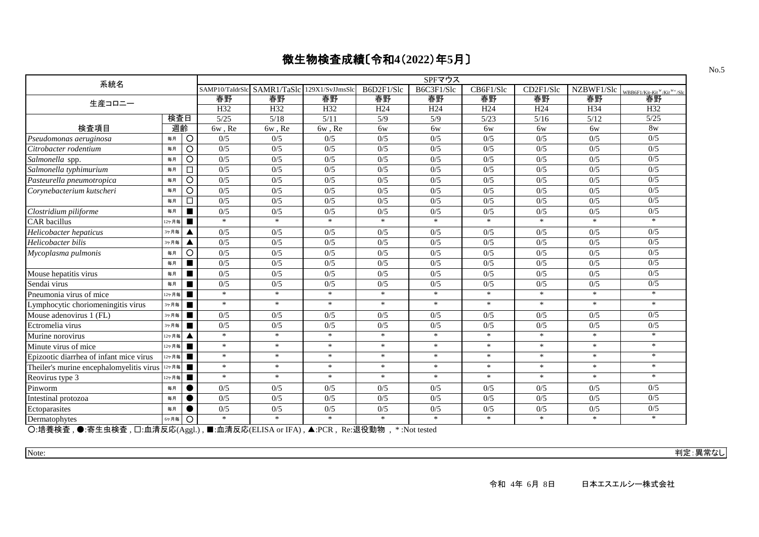| 系統名                                      |       |                |                 |                             |        |                      | SPFマウス          |                 |                 |                                 |                                    |
|------------------------------------------|-------|----------------|-----------------|-----------------------------|--------|----------------------|-----------------|-----------------|-----------------|---------------------------------|------------------------------------|
|                                          |       |                | SAMP10/TaIdrSlc | SAMR1/TaSlc 129X1/SvJJmsSlc |        | B6D2F1/Slc           | B6C3F1/Slc      | CB6F1/Slc       | CD2F1/Slc       | $\overline{\text{NZBWF}}$ 1/Slc | WBB6F1/Kit-Kit $W/K$ it $W^W$ /Slc |
| 生産コロニー                                   |       |                | 春野              | 春野                          | 春野     | 春野                   | 春野              | 春野              | 春野              | 春野                              | 春野                                 |
|                                          |       |                | H32             | H32                         | H32    | H <sub>24</sub>      | H <sub>24</sub> | H <sub>24</sub> | H <sub>24</sub> | H34                             | H32                                |
|                                          | 検査日   |                | 5/25            | 5/18                        | 5/11   | 5/9                  | 5/9             | 5/23            | 5/16            | 5/12                            | 5/25                               |
| 検査項目                                     | 週齡    |                | 6w, Re          | 6w, Re                      | 6w, Re | 6w                   | 6w              | 6w              | 6w              | 6w                              | 8w                                 |
| Pseudomonas aeruginosa                   | 毎月    | $\circ$        | 0/5             | 0/5                         | 0/5    | 0/5                  | 0/5             | 0/5             | 0/5             | 0/5                             | 0/5                                |
| Citrobacter rodentium                    | 毎月    | $\bigcirc$     | 0/5             | 0/5                         | 0/5    | 0/5                  | 0/5             | 0/5             | 0/5             | 0/5                             | 0/5                                |
| Salmonella spp.                          | 毎月    | O              | 0/5             | 0/5                         | 0/5    | 0/5                  | 0/5             | 0/5             | 0/5             | 0/5                             | 0/5                                |
| Salmonella typhimurium                   | 毎月    | $\Box$         | 0/5             | 0/5                         | 0/5    | 0/5                  | 0/5             | 0/5             | 0/5             | 0/5                             | 0/5                                |
| Pasteurella pneumotropica                | 毎月    | O              | 0/5             | 0/5                         | 0/5    | 0/5                  | 0/5             | 0/5             | 0/5             | 0/5                             | 0/5                                |
| Corynebacterium kutscheri                | 毎月    | $\circ$        | 0/5             | 0/5                         | 0/5    | 0/5                  | 0/5             | 0/5             | 0/5             | 0/5                             | 0/5                                |
|                                          | 毎月    | $\Box$         | 0/5             | 0/5                         | 0/5    | 0/5                  | 0/5             | 0/5             | 0/5             | 0/5                             | 0/5                                |
| Clostridium piliforme                    | 毎月    |                | 0/5             | 0/5                         | 0/5    | 0/5                  | 0/5             | 0/5             | 0/5             | 0/5                             | 0/5                                |
| <b>CAR</b> bacillus                      | 12ヶ月毎 |                | $\ast$          | $\ast$                      | $*$    | $*$                  | $\ast$          | $\ast$          | $\ast$          | $\ast$                          | $\ast$                             |
| Helicobacter hepaticus                   | 3ヶ月毎  |                | 0/5             | 0/5                         | 0/5    | 0/5                  | 0/5             | 0/5             | 0/5             | 0/5                             | 0/5                                |
| Helicobacter bilis                       | 3ヶ月毎  | Δ              | 0/5             | 0/5                         | 0/5    | 0/5                  | 0/5             | 0/5             | 0/5             | 0/5                             | 0/5                                |
| Mycoplasma pulmonis                      | 毎月    | $\circ$        | 0/5             | 0/5                         | 0/5    | 0/5                  | 0/5             | 0/5             | 0/5             | 0/5                             | 0/5                                |
|                                          | 毎月    |                | 0/5             | 0/5                         | 0/5    | 0/5                  | 0/5             | 0/5             | 0/5             | 0/5                             | 0/5                                |
| Mouse hepatitis virus                    | 毎月    |                | 0/5             | 0/5                         | 0/5    | 0/5                  | 0/5             | 0/5             | 0/5             | 0/5                             | 0/5                                |
| Sendai virus                             | 毎月    |                | 0/5             | 0/5                         | 0/5    | 0/5                  | 0/5             | 0/5             | 0/5             | 0/5                             | 0/5                                |
| Pneumonia virus of mice                  | 12ヶ月毎 |                | $\ast$          | $\ast$                      | $\ast$ | $\ast$               | $\ast$          | $\ast$          | $\ast$          | $\ast$                          | $*$                                |
| Lymphocytic choriomeningitis virus       | 3ヶ月毎  | $\blacksquare$ | $\ast$          | $\ast$                      | $\ast$ | $\ast$               | $\ast$          | $*$             | $\ast$          | $*$                             | $\ast$                             |
| Mouse adenovirus 1 (FL)                  | 3ヶ月毎  |                | 0/5             | 0/5                         | 0/5    | 0/5                  | 0/5             | 0/5             | 0/5             | 0/5                             | 0/5                                |
| Ectromelia virus                         | 3ヶ月毎  |                | 0/5             | 0/5                         | 0/5    | 0/5                  | 0/5             | 0/5             | 0/5             | 0/5                             | 0/5                                |
| Murine norovirus                         | 12ヶ月毎 |                | $\ast$          | $\ast$                      | $\ast$ | $\ast$               | $\ast$          | $\ast$          | $\ast$          | $\ast$                          | $*$                                |
| Minute virus of mice                     | 12ヶ月毎 | ■              | $\ast$          | $\ast$                      | $\ast$ | $\ast$               | $\ast$          | $\ast$          | $\ast$          | $\ast$                          | $\ast$                             |
| Epizootic diarrhea of infant mice virus  | 12ヶ月毎 |                | $\ast$          | $\ast$                      | $\ast$ | $\ast$               | $\ast$          | $\ast$          | $\ast$          | $\ast$                          | $*$                                |
| Theiler's murine encephalomyelitis virus | 12ヶ月毎 |                | $\ast$          | $\ast$                      | $\ast$ | $\ast$               | $\ast$          | $\ast$          | $\ast$          | $\ast$                          | $*$                                |
| Reovirus type 3                          | 12ヶ月毎 |                | $\ast$          | $\ast$                      | $\ast$ | $\ast$               | $\ast$          | $\ast$          | $\ast$          | $\ast$                          | $\ast$                             |
| Pinworm                                  | 毎月    |                | 0/5             | 0/5                         | 0/5    | 0/5                  | 0/5             | 0/5             | 0/5             | 0/5                             | 0/5                                |
| Intestinal protozoa                      | 毎月    |                | 0/5             | 0/5                         | 0/5    | 0/5                  | 0/5             | 0/5             | 0/5             | 0/5                             | 0/5                                |
| Ectoparasites                            | 毎月    |                | 0/5             | 0/5                         | 0/5    | 0/5                  | 0/5             | 0/5             | 0/5             | 0/5                             | 0/5                                |
| Dermatophytes                            | 6ヶ月毎  | O              | $\ast$          | $*$                         | $*$    | $\ast$<br>$m \neq m$ | $*$             | $*$             | $*$             | $*$                             | $*$                                |

○:培養検査 , ●:寄生虫検査 , □:血清反応(Aggl.) , ■:血清反応(ELISA or IFA) , ▲:PCR , Re:退役動物 , \* :Not tested

Note: 判定:異常なし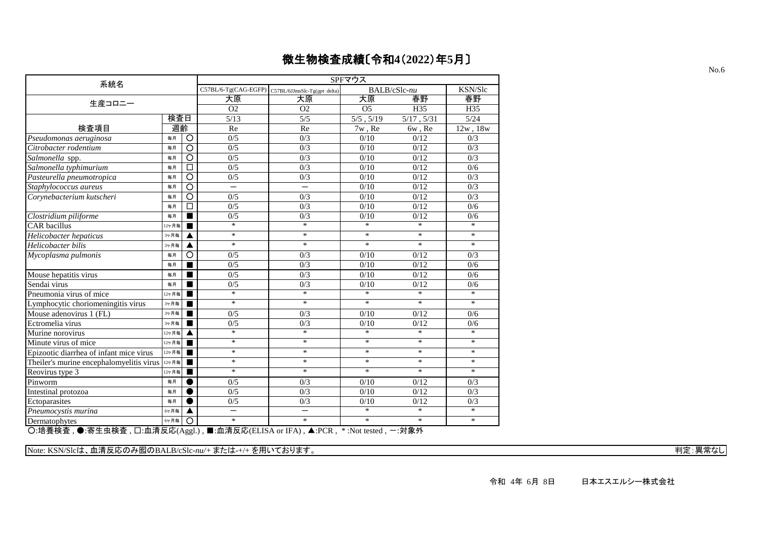| 系統名                                      |       |                    |                          |                                                   | SPFマウス          |              |                  |
|------------------------------------------|-------|--------------------|--------------------------|---------------------------------------------------|-----------------|--------------|------------------|
|                                          |       |                    |                          | C57BL/6-Tg(CAG-EGFP) C57BL/6JJmsSlc-Tg(gpt delta) |                 | BALB/cSlc-nu | KSN/Slc          |
| 生産コロニー                                   |       |                    | 大原                       | 大原                                                | 大原              | 春野           | 春野               |
|                                          |       |                    | O <sub>2</sub>           | O <sub>2</sub>                                    | $\overline{O5}$ | H35          | H35              |
|                                          | 検査日   |                    | 5/13                     | $\overline{5/5}$                                  | $5/5$ , $5/19$  | 5/17, 5/31   | 5/24             |
| 検査項目                                     | 週齡    |                    | Re                       | Re                                                | 7w, Re          | 6w, Re       | 12w, 18w         |
| Pseudomonas aeruginosa                   | 毎月    | $\circ$            | 0/5                      | 0/3                                               | 0/10            | 0/12         | 0/3              |
| Citrobacter rodentium                    | 毎月    | $\overline{\circ}$ | $0/\overline{5}$         | $\overline{0/3}$                                  | 0/10            | 0/12         | 0/3              |
| Salmonella spp.                          | 毎月    | $\overline{\circ}$ | 0/5                      | 0/3                                               | 0/10            | 0/12         | 0/3              |
| Salmonella typhimurium                   | 毎月    | $\Box$             | 0/5                      | 0/3                                               | 0/10            | 0/12         | 0/6              |
| Pasteurella pneumotropica                | 毎月    | $\overline{\circ}$ | 0/5                      | 0/3                                               | 0/10            | 0/12         | 0/3              |
| Staphylococcus aureus                    | 毎月    | $\overline{\circ}$ | $\overline{\phantom{0}}$ | $\overline{\phantom{0}}$                          | 0/10            | 0/12         | $\overline{0/3}$ |
| Corynebacterium kutscheri                | 毎月    | $\circ$            | 0/5                      | 0/3                                               | 0/10            | 0/12         | 0/3              |
|                                          | 毎月    | П                  | 0/5                      | 0/3                                               | 0/10            | 0/12         | 0/6              |
| Clostridium piliforme                    | 毎月    |                    | 0/5                      | 0/3                                               | 0/10            | 0/12         | 0/6              |
| <b>CAR</b> bacillus                      | 12ヶ月毎 |                    | $\ast$                   | $\ast$                                            | $\ast$          | $\ast$       | $\ast$           |
| Helicobacter hepaticus                   | 3ヶ月毎  |                    | $\ast$                   | $\ast$                                            | $\ast$          | $\ast$       | $\ast$           |
| Helicobacter bilis                       | 3ヶ月毎  |                    | $\ast$                   | $\ast$                                            | $\ast$          | $\ast$       | $\ast$           |
| Mycoplasma pulmonis                      | 毎月    | O                  | 0/5                      | 0/3                                               | 0/10            | 0/12         | 0/3              |
|                                          | 毎月    |                    | 0/5                      | 0/3                                               | 0/10            | 0/12         | 0/6              |
| Mouse hepatitis virus                    | 毎月    | $\blacksquare$     | 0/5                      | 0/3                                               | 0/10            | 0/12         | 0/6              |
| Sendai virus                             | 每月    |                    | 0/5                      | 0/3                                               | 0/10            | 0/12         | 0/6              |
| Pneumonia virus of mice                  | 12ヶ月毎 |                    | $\ast$                   | $\ast$                                            | $\ast$          | $\ast$       | $\ast$           |
| Lymphocytic choriomeningitis virus       | 3ヶ月毎  |                    | $\ast$                   | $\ast$                                            | $\ast$          | $\ast$       | $\ast$           |
| Mouse adenovirus 1 (FL)                  | 3ヶ月毎  |                    | 0/5                      | 0/3                                               | 0/10            | 0/12         | 0/6              |
| Ectromelia virus                         | 3ヶ月毎  |                    | 0/5                      | 0/3                                               | 0/10            | 0/12         | 0/6              |
| Murine norovirus                         | 12ヶ月毎 |                    | $\ast$                   | $\ast$                                            | $\ast$          | $\ast$       | $\ast$           |
| Minute virus of mice                     | 12ヶ月毎 |                    | $\ast$                   | $\ast$                                            | $\ast$          | $\ast$       | $\ast$           |
| Epizootic diarrhea of infant mice virus  | 12ヶ月毎 |                    | $\ast$                   | $\ast$                                            | $\ast$          | $\ast$       | $\ast$           |
| Theiler's murine encephalomyelitis virus | 12ヶ月毎 |                    | $\ast$                   | $\ast$                                            | $\ast$          | $\ast$       | $\ast$           |
| Reovirus type 3                          | 12ヶ月毎 |                    | $\ast$                   | $\ast$                                            | $\ast$          | $\ast$       | $\ast$           |
| Pinworm                                  | 毎月    |                    | 0/5                      | 0/3                                               | 0/10            | 0/12         | 0/3              |
| Intestinal protozoa                      | 毎月    |                    | 0/5                      | 0/3                                               | 0/10            | 0/12         | 0/3              |
| Ectoparasites                            | 毎月    |                    | 0/5                      | 0/3                                               | 0/10            | 0/12         | 0/3              |
| Pneumocystis murina                      | 6ヶ月毎  |                    | —                        |                                                   | $\ast$          | $\ast$       | $\ast$           |
| Dermatophytes<br>○ ☆羊 ☆★ ▲ 字牛+☆★         | 6ヶ月毎  | $\circ$            | $\ast$                   | $\ast$                                            | $\ast$          | $\ast$       | $\ast$           |

○:培養検査 , ●:寄生虫検査 , □:血清反応(Aggl.) , ■:血清反応(ELISA or IFA) , ▲:PCR , \* :Not tested , -:対象外

Note: KSN/Slcは、血清反応のみ囮のBALB/cSlc-*nu/+* または-+/+ を用いております。 インタング インタング インタング インタング インタング ディスク 判定:異常なし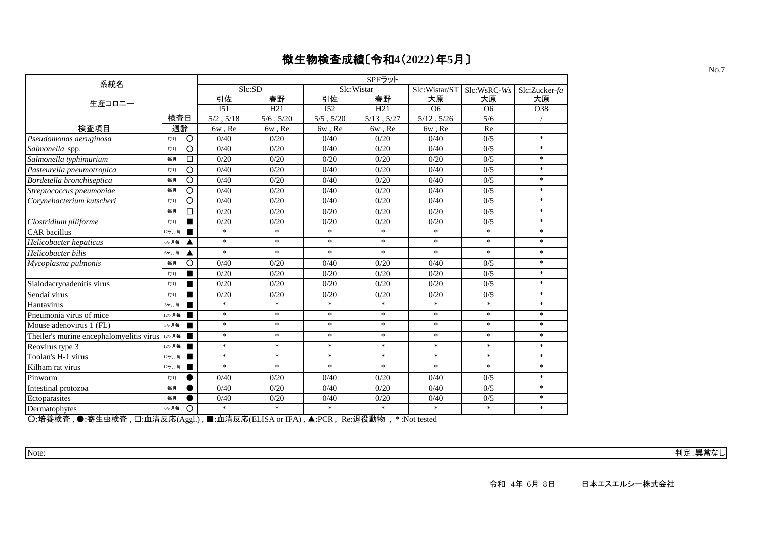| 系統名                                             |       |         |                 |                |                | SPFラット     |                |                  |               |
|-------------------------------------------------|-------|---------|-----------------|----------------|----------------|------------|----------------|------------------|---------------|
|                                                 |       |         |                 | Slc:SD         |                | Slc:Wistar | Slc:Wistar/ST  | Slc:WsRC-Ws      | Slc:Zucker-fa |
| 生産コロニー                                          |       |         | 引佐              | 春野             | 引佐             | 春野         | 大原             | 大原               | 大原            |
|                                                 |       |         | I <sub>51</sub> | H21            | I52            | H21        | O <sub>6</sub> | O <sub>6</sub>   | O38           |
|                                                 | 検査日   |         | $5/2$ , $5/18$  | $5/6$ , $5/20$ | $5/5$ , $5/20$ | 5/13, 5/27 | 5/12, 5/26     | $\overline{5/6}$ |               |
| 検査項目                                            | 週齡    |         | 6w, Re          | 6w, Re         | 6w, Re         | 6w, Re     | 6w, Re         | Re               |               |
| Pseudomonas aeruginosa                          | 每月    | $\circ$ | 0/40            | 0/20           | 0/40           | 0/20       | 0/40           | 0/5              | $\ast$        |
| Salmonella spp.                                 | 每月    | O       | 0/40            | 0/20           | 0/40           | 0/20       | 0/40           | 0/5              | $\ast$        |
| Salmonella typhimurium                          | 每月    | □       | 0/20            | 0/20           | 0/20           | 0/20       | 0/20           | 0/5              | $\ast$        |
| Pasteurella pneumotropica                       | 毎月    | O       | 0/40            | 0/20           | 0/40           | 0/20       | 0/40           | 0/5              | $\ast$        |
| Bordetella bronchiseptica                       | 毎月    | O       | 0/40            | 0/20           | 0/40           | 0/20       | 0/40           | 0/5              | $\ast$        |
| Streptococcus pneumoniae                        | 毎月    | O       | 0/40            | 0/20           | 0/40           | 0/20       | 0/40           | 0/5              | $\ast$        |
| Corynebacterium kutscheri                       | 每月    | O       | 0/40            | 0/20           | 0/40           | 0/20       | 0/40           | 0/5              | $\ast$        |
|                                                 | 毎月    | □       | 0/20            | 0/20           | 0/20           | 0/20       | 0/20           | 0/5              | $\ast$        |
| Clostridium piliforme                           | 毎月    |         | 0/20            | 0/20           | 0/20           | 0/20       | 0/20           | 0/5              | $\ast$        |
| <b>CAR</b> bacillus                             | 12ヶ月毎 |         | $\ast$          | $\ast$         | $\ast$         | $\ast$     | $\ast$         | $\ast$           | $\ast$        |
| Helicobacter hepaticus                          | 6ヶ月毎  |         | $\ast$          | $\ast$         | $\ast$         | $\ast$     | $\ast$         | $\ast$           | $\ast$        |
| Helicobacter bilis                              | 6ヶ月毎  |         | $\ast$          | $\ast$         | $\ast$         | $\ast$     | $\ast$         | $*$              | $\ast$        |
| Mycoplasma pulmonis                             | 每月    | O       | 0/40            | 0/20           | 0/40           | 0/20       | 0/40           | 0/5              | $\ast$        |
|                                                 | 毎月    | ■       | 0/20            | 0/20           | 0/20           | 0/20       | 0/20           | 0/5              | $\ast$        |
| Sialodacryoadenitis virus                       | 毎月    | п       | 0/20            | 0/20           | 0/20           | 0/20       | 0/20           | 0/5              | $\ast$        |
| Sendai virus                                    | 毎月    |         | 0/20            | 0/20           | 0/20           | 0/20       | 0/20           | 0/5              | $\ast$        |
| Hantavirus                                      | 3ヶ月毎  |         | $\ast$          | $\ast$         | $\ast$         | $*$        | $\ast$         | $\ast$           | $\ast$        |
| Pneumonia virus of mice                         | 12ヶ月毎 | п       | $*$             | $\ast$         | $\ast$         | $*$        | $\ast$         | $*$              | $*$           |
| Mouse adenovirus 1 (FL)                         | 3ヶ月毎  |         | $*$             | $\ast$         | $\ast$         | $\ast$     | $\ast$         | $\ast$           | $\ast$        |
| Theiler's murine encephalomyelitis virus  127 A |       | п       | $\ast$          | $\ast$         | $\ast$         | $\ast$     | $\ast$         | $\ast$           | $\ast$        |
| Reovirus type 3                                 | 12ヶ月毎 | п       | $\ast$          | $\ast$         | $\ast$         | $\ast$     | $\ast$         | $*$              | $\ast$        |
| Toolan's H-1 virus                              | 12ヶ月毎 |         | $\ast$          | $\ast$         | $\ast$         | $\ast$     | $\ast$         | $*$              | $\ast$        |
| Kilham rat virus                                | 12ヶ月毎 |         | $*$             | $\ast$         | $*$            | $\ast$     | $\ast$         | $*$              | $\ast$        |
| Pinworm                                         | 每月    |         | 0/40            | 0/20           | 0/40           | 0/20       | 0/40           | 0/5              | $\ast$        |
| Intestinal protozoa                             | 每月    |         | 0/40            | 0/20           | 0/40           | 0/20       | 0/40           | 0/5              | $*$           |
| Ectoparasites                                   | 每月    |         | 0/40            | 0/20           | 0/40           | 0/20       | 0/40           | 0/5              | $\ast$        |
| Dermatophytes                                   | 6ヶ月毎  | O       | $*$             | $\ast$         | $*$            | $\ast$     | $\ast$         | $*$              | $\ast$        |

○:培養検査 , ●:寄生虫検査 , □:血清反応(Aggl.) , ■:血清反応(ELISA or IFA) , ▲:PCR , Re:退役動物 , \* :Not tested

Note: 判定:異常なし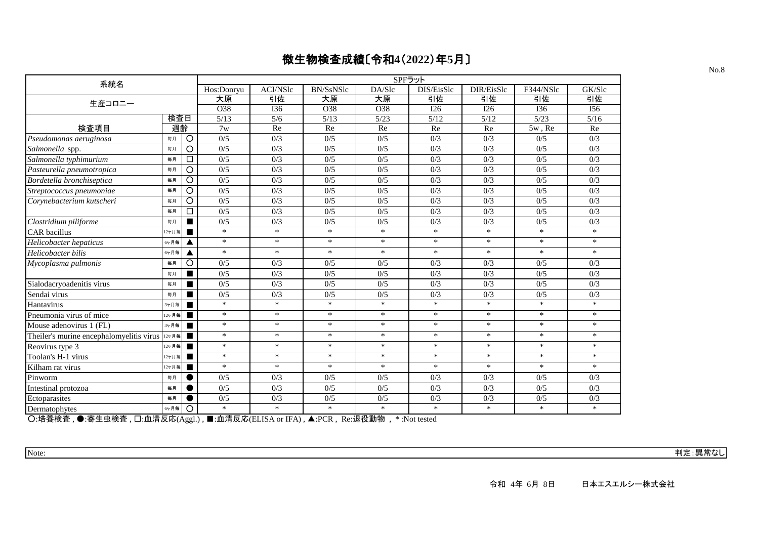| 系統名                                      |       |                |            |                  |                  | SPFラット |            |            |           |        |
|------------------------------------------|-------|----------------|------------|------------------|------------------|--------|------------|------------|-----------|--------|
|                                          |       |                | Hos:Donryu | <b>ACI/NSlc</b>  | <b>BN/SsNSlc</b> | DA/Slc | DIS/EisSlc | DIR/EisSlc | F344/NSlc | GK/Slc |
| 生産コロニー                                   |       |                | 大原         | 引佐               | 大原               | 大原     | 引佐         | 引佐         | 引佐        | 引佐     |
|                                          |       |                | O38        | <b>I36</b>       | O38              | O38    | I26        | I26        | I36       | I56    |
|                                          | 検査日   |                | 5/13       | 5/6              | 5/13             | 5/23   | 5/12       | 5/12       | 5/23      | 5/16   |
| 検査項目                                     | 週齡    |                | 7w         | Re               | Re               | Re     | Re         | Re         | $5w$ , Re | Re     |
| Pseudomonas aeruginosa                   | 毎月    | $\circ$        | 0/5        | 0/3              | 0/5              | 0/5    | 0/3        | 0/3        | 0/5       | 0/3    |
| Salmonella spp.                          | 每月    | $\circ$        | 0/5        | 0/3              | 0/5              | 0/5    | 0/3        | 0/3        | 0/5       | 0/3    |
| Salmonella typhimurium                   | 毎月    | □              | 0/5        | 0/3              | 0/5              | 0/5    | 0/3        | 0/3        | 0/5       | 0/3    |
| Pasteurella pneumotropica                | 毎月    | $\circ$        | 0/5        | $\overline{0/3}$ | 0/5              | 0/5    | 0/3        | 0/3        | 0/5       | 0/3    |
| Bordetella bronchiseptica                | 毎月    | O              | 0/5        | 0/3              | 0/5              | 0/5    | 0/3        | 0/3        | 0/5       | 0/3    |
| Streptococcus pneumoniae                 | 毎月    | $\circ$        | 0/5        | 0/3              | 0/5              | 0/5    | 0/3        | 0/3        | 0/5       | 0/3    |
| Corynebacterium kutscheri                | 毎月    | $\circ$        | 0/5        | 0/3              | 0/5              | 0/5    | 0/3        | 0/3        | 0/5       | 0/3    |
|                                          | 每月    | □              | 0/5        | 0/3              | 0/5              | 0/5    | 0/3        | 0/3        | 0/5       | 0/3    |
| Clostridium piliforme                    | 毎月    |                | 0/5        | 0/3              | 0/5              | 0/5    | 0/3        | 0/3        | 0/5       | 0/3    |
| <b>CAR</b> bacillus                      | 2ヶ月毎  |                | $\ast$     | $\ast$           | $\ast$           | $\ast$ | $\ast$     | $\ast$     | $\ast$    | $\ast$ |
| Helicobacter hepaticus                   | 6ヶ月毎  | ▲              | $\ast$     | $\ast$           | $\ast$           | $\ast$ | $\ast$     | $\ast$     | $\ast$    | $\ast$ |
| Helicobacter bilis                       | 6ヶ月毎  | ◢              | $\ast$     | $\ast$           | $\ast$           | $*$    | $\ast$     | $\ast$     | $\ast$    | $*$    |
| Mycoplasma pulmonis                      | 毎月    | $\circ$        | 0/5        | 0/3              | 0/5              | 0/5    | 0/3        | 0/3        | 0/5       | 0/3    |
|                                          | 每月    | п              | 0/5        | 0/3              | 0/5              | 0/5    | 0/3        | 0/3        | 0/5       | 0/3    |
| Sialodacryoadenitis virus                | 毎月    |                | 0/5        | 0/3              | 0/5              | 0/5    | 0/3        | 0/3        | 0/5       | 0/3    |
| Sendai virus                             | 毎月    |                | 0/5        | 0/3              | 0/5              | 0/5    | 0/3        | 0/3        | 0/5       | 0/3    |
| Hantavirus                               | 3ヶ月毎  | п              | $\ast$     | $\ast$           | $\ast$           | $*$    | $\ast$     | $\ast$     | $\ast$    | $\ast$ |
| Pneumonia virus of mice                  | 12ヶ月毎 | п              | $\ast$     | $\ast$           | $\ast$           | $\ast$ | $\ast$     | $\ast$     | $\ast$    | $\ast$ |
| Mouse adenovirus 1 (FL)                  | 3ヶ月毎  |                | $\ast$     | $\ast$           | $\ast$           | $\ast$ | $\ast$     | $\ast$     | $\ast$    | $\ast$ |
| Theiler's murine encephalomyelitis virus | 12ヶ月毎 | $\blacksquare$ | $\ast$     | $\ast$           | $\ast$           | $\ast$ | $\ast$     | $\ast$     | $\ast$    | $\ast$ |
| Reovirus type 3                          | 12ヶ月毎 | п              | $\ast$     | $\ast$           | $\ast$           | $*$    | $\ast$     | $\ast$     | $\ast$    | $\ast$ |
| Toolan's H-1 virus                       | 12ヶ月毎 | п              | $\ast$     | $\ast$           | $\ast$           | $*$    | $\ast$     | $\ast$     | $\ast$    | $\ast$ |
| Kilham rat virus                         | 12ヶ月毎 |                | $\ast$     | $\ast$           | $\ast$           | $\ast$ | $\ast$     | $\ast$     | $\ast$    | $\ast$ |
| Pinworm                                  | 毎月    |                | 0/5        | 0/3              | 0/5              | 0/5    | 0/3        | 0/3        | 0/5       | 0/3    |
| Intestinal protozoa                      | 毎月    |                | 0/5        | 0/3              | 0/5              | 0/5    | 0/3        | 0/3        | 0/5       | 0/3    |
| Ectoparasites                            | 毎月    |                | 0/5        | 0/3              | 0/5              | 0/5    | 0/3        | 0/3        | 0/5       | 0/3    |
| Dermatophytes                            | 6ヶ月毎  | $\circ$        | $\ast$     | $\ast$           | $\ast$           | $\ast$ | $\ast$     | $\ast$     | $\ast$    | $\ast$ |

○:培養検査 , ●:寄生虫検査 , □:血清反応(Aggl.) , ■:血清反応(ELISA or IFA) , ▲:PCR , Re:退役動物 , \* :Not tested

Note: 判定:異常なし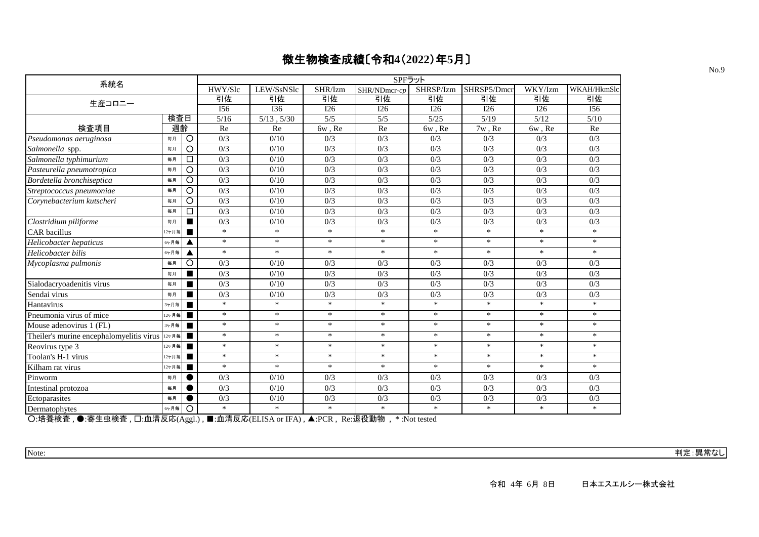| 系統名                                      |       |                |                  |                 |         | SPFラット           |                  |                  |                  |                  |
|------------------------------------------|-------|----------------|------------------|-----------------|---------|------------------|------------------|------------------|------------------|------------------|
|                                          |       |                | HWY/Slc          | LEW/SsNSlc      | SHR/Izm | SHR/NDmcr-cp     | SHRSP/Izm        | SHRSP5/Dmcr      | WKY/Izm          | WKAH/HkmSlc      |
| 生産コロニー                                   |       |                | 引佐               | 引佐              | 引佐      | 引佐               | 引佐               | 引佐               | 引佐               | 引佐               |
|                                          |       |                | I56              | <b>I36</b>      | I26     | I26              | I26              | I26              | I26              | I56              |
|                                          | 検査日   |                | 5/16             | $5/13$ , $5/30$ | 5/5     | 5/5              | 5/25             | 5/19             | 5/12             | 5/10             |
| 検査項目                                     | 週齡    |                | Re               | Re              | 6w, Re  | Re               | 6w, Re           | 7w, Re           | 6w, Re           | Re               |
| Pseudomonas aeruginosa                   | 毎月    | $\circ$        | 0/3              | 0/10            | 0/3     | 0/3              | 0/3              | 0/3              | 0/3              | 0/3              |
| Salmonella spp.                          | 毎月    | $\circ$        | 0/3              | 0/10            | 0/3     | 0/3              | 0/3              | 0/3              | 0/3              | 0/3              |
| Salmonella typhimurium                   | 毎月    | □              | 0/3              | 0/10            | 0/3     | 0/3              | 0/3              | 0/3              | 0/3              | 0/3              |
| Pasteurella pneumotropica                | 毎月    | O              | $\overline{0/3}$ | 0/10            | 0/3     | $\overline{0/3}$ | $\overline{0/3}$ | $\overline{0/3}$ | $\overline{0/3}$ | $\overline{0/3}$ |
| Bordetella bronchiseptica                | 毎月    | $\circ$        | 0/3              | 0/10            | 0/3     | 0/3              | 0/3              | 0/3              | 0/3              | 0/3              |
| Streptococcus pneumoniae                 | 毎月    | $\circ$        | 0/3              | 0/10            | 0/3     | 0/3              | 0/3              | 0/3              | 0/3              | 0/3              |
| Corynebacterium kutscheri                | 毎月    | $\circ$        | 0/3              | 0/10            | 0/3     | 0/3              | 0/3              | 0/3              | 0/3              | 0/3              |
|                                          | 毎月    | $\Box$         | 0/3              | 0/10            | 0/3     | 0/3              | 0/3              | 0/3              | 0/3              | 0/3              |
| Clostridium piliforme                    | 毎月    | $\blacksquare$ | 0/3              | 0/10            | 0/3     | 0/3              | 0/3              | 0/3              | 0/3              | 0/3              |
| CAR bacillus                             | 12ヶ月毎 | п              | $\ast$           | $\ast$          | $\ast$  | $\ast$           | $\ast$           | $\ast$           | $\ast$           | $\ast$           |
| Helicobacter hepaticus                   | 6ヶ月毎  | ▲              | $\ast$           | $\ast$          | $\ast$  | $\ast$           | $\ast$           | $\ast$           | $\ast$           | $\ast$           |
| Helicobacter bilis                       | 6ヶ月毎  | ▲              | $*$              | $\ast$          | $\ast$  | $\ast$           | $\ast$           | $\ast$           | $\ast$           | $\ast$           |
| Mycoplasma pulmonis                      | 毎月    | $\circ$        | 0/3              | 0/10            | 0/3     | 0/3              | 0/3              | 0/3              | 0/3              | 0/3              |
|                                          | 每月    | $\blacksquare$ | 0/3              | 0/10            | 0/3     | 0/3              | 0/3              | 0/3              | 0/3              | 0/3              |
| Sialodacryoadenitis virus                | 毎月    | $\blacksquare$ | 0/3              | 0/10            | 0/3     | 0/3              | 0/3              | 0/3              | 0/3              | 0/3              |
| Sendai virus                             | 毎月    | п              | 0/3              | 0/10            | 0/3     | 0/3              | 0/3              | 0/3              | 0/3              | 0/3              |
| Hantavirus                               | 3ヶ月毎  | п              | $*$              | $\ast$          | $\ast$  | $\ast$           | $\ast$           | $\ast$           | $\ast$           | $*$              |
| Pneumonia virus of mice                  | 12ヶ月毎 | $\blacksquare$ | $\ast$           | $\ast$          | $\ast$  | $\ast$           | $\ast$           | $\ast$           | $\ast$           | $\ast$           |
| Mouse adenovirus 1 (FL)                  | 3ヶ月毎  | п              | $\ast$           | $\ast$          | $\ast$  | $\ast$           | $\ast$           | $\ast$           | $\ast$           | $\ast$           |
| Theiler's murine encephalomyelitis virus | 12ヶ月毎 | п              | $\ast$           | $\ast$          | $\ast$  | $\ast$           | $\ast$           | $\ast$           | $\ast$           | $\ast$           |
| Reovirus type 3                          | 12ヶ月毎 | п              | $\ast$           | $\ast$          | $\ast$  | $\ast$           | $\ast$           | $\ast$           | $\ast$           | $\ast$           |
| Toolan's H-1 virus                       | 12ヶ月毎 | п              | $\ast$           | $\ast$          | $\ast$  | $\ast$           | $\ast$           | $\ast$           | $*$              | $\ast$           |
| Kilham rat virus                         | 12ヶ月毎 |                | $\ast$           | $\ast$          | $\ast$  | $\ast$           | $\ast$           | $\ast$           | $\ast$           | $\ast$           |
| Pinworm                                  | 毎月    |                | 0/3              | 0/10            | 0/3     | 0/3              | 0/3              | 0/3              | 0/3              | 0/3              |
| Intestinal protozoa                      | 毎月    |                | 0/3              | 0/10            | 0/3     | 0/3              | 0/3              | 0/3              | 0/3              | 0/3              |
| Ectoparasites                            | 毎月    | $\epsilon$     | 0/3              | 0/10            | 0/3     | 0/3              | 0/3              | 0/3              | 0/3              | 0/3              |
| Dermatophytes                            | 6ヶ月毎  | $\circ$        | $\ast$           | $\ast$          | $\ast$  | $\ast$           | $\ast$           | $\ast$           | $\ast$           | $\ast$           |

○:培養検査 , ●:寄生虫検査 , □:血清反応(Aggl.) , ■:血清反応(ELISA or IFA) , ▲:PCR , Re:退役動物 , \* :Not tested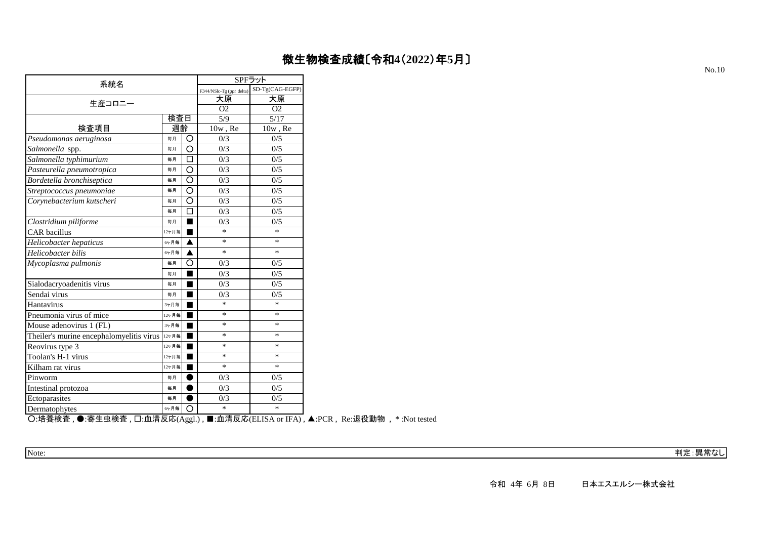| 系統名                                      |       |   |                          | SPFラット          |
|------------------------------------------|-------|---|--------------------------|-----------------|
|                                          |       |   | F344/NSlc-Tg (gpt delta) | SD-Tg(CAG-EGFP) |
| 生産コロニー                                   |       |   | 大原                       | 大原              |
|                                          |       |   | O <sub>2</sub>           | O <sub>2</sub>  |
|                                          | 検査日   |   | 5/9                      | 5/17            |
| 検査項目                                     | 週齡    |   | $10w$ , Re               | $10w$ , Re      |
| Pseudomonas aeruginosa                   | 毎月    | Ο | 0/3                      | 0/5             |
| Salmonella spp.                          | 毎月    | O | 0/3                      | 0/5             |
| Salmonella typhimurium                   | 毎月    | п | 0/3                      | 0/5             |
| Pasteurella pneumotropica                | 毎月    | O | 0/3                      | 0/5             |
| Bordetella bronchiseptica                | 毎月    | Ó | 0/3                      | 0/5             |
| Streptococcus pneumoniae                 | 毎月    | O | 0/3                      | 0/5             |
| Corynebacterium kutscheri                | 毎月    | O | 0/3                      | 0/5             |
|                                          | 毎月    |   | 0/3                      | 0/5             |
| Clostridium piliforme                    | 毎月    |   | 0/3                      | 0/5             |
| <b>CAR</b> bacillus                      | 12ヶ月毎 |   | $\ast$                   | $\ast$          |
| Helicobacter hepaticus                   | 6ヶ月毎  | ▲ | $\ast$                   | $\ast$          |
| Helicobacter bilis                       | 6ヶ月毎  |   | *                        | $\ast$          |
| Mycoplasma pulmonis                      | 毎月    | O | 0/3                      | 0/5             |
|                                          | 毎月    |   | 0/3                      | 0/5             |
| Sialodacryoadenitis virus                | 毎月    |   | 0/3                      | 0/5             |
| Sendai virus                             | 毎月    |   | 0/3                      | 0/5             |
| Hantavirus                               | 3ヶ月毎  |   | $\ast$                   | $\ast$          |
| Pneumonia virus of mice                  | 12ヶ月毎 |   | *                        | $\ast$          |
| Mouse adenovirus 1 (FL)                  | 3ヶ月毎  |   | $\ast$                   | $\ast$          |
| Theiler's murine encephalomyelitis virus | 12ヶ月毎 |   | *                        | *               |
| Reovirus type 3                          | 12ヶ月毎 |   | $\ast$                   | $\ast$          |
| Toolan's H-1 virus                       | 12ヶ月毎 |   | $\ast$                   | $\ast$          |
| Kilham rat virus                         | 12ヶ月毎 |   | *                        | *               |
| Pinworm                                  | 毎月    |   | 0/3                      | 0/5             |
| Intestinal protozoa                      | 毎月    |   | 0/3                      | 0/5             |
| Ectoparasites                            | 毎月    |   | 0/3                      | 0/5             |
| Dermatophytes                            | 6ヶ月毎  | ∩ | $\ast$                   | $\ast$          |

○:培養検査 , ●:寄生虫検査 , □:血清反応(Aggl.) , ■:血清反応(ELISA or IFA) , ▲:PCR , Re:退役動物 , \* :Not tested

Note: 判定:異常なし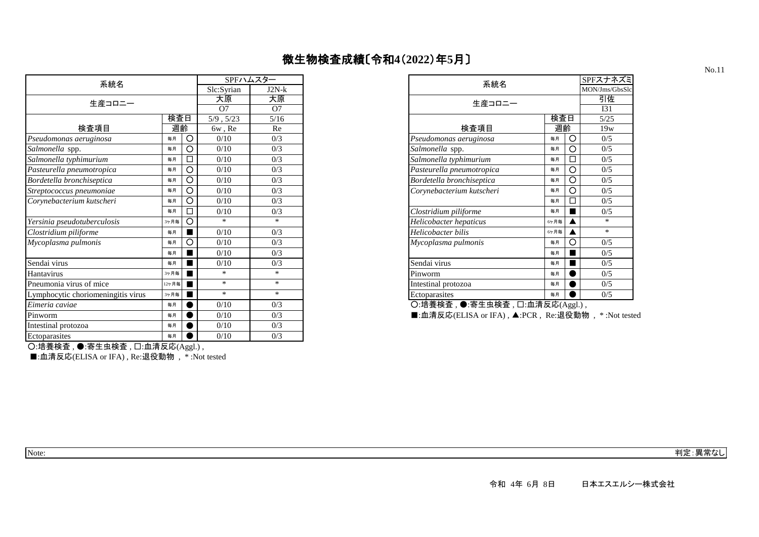|                                    |       |   |                | SPFハムスター       |
|------------------------------------|-------|---|----------------|----------------|
| 系統名                                |       |   | Slc:Syrian     | $J2N-k$        |
| 生産コロニー                             |       |   | 大原             | 大原             |
|                                    |       |   | O7             | O <sub>7</sub> |
|                                    | 検査日   |   | $5/9$ , $5/23$ | 5/16           |
| 検査項目                               | 週齡    |   | 6w, Re         | Re             |
| Pseudomonas aeruginosa             | 毎月    | O | 0/10           | 0/3            |
| Salmonella spp.                    | 毎月    | О | 0/10           | 0/3            |
| Salmonella typhimurium             | 毎月    | □ | 0/10           | 0/3            |
| Pasteurella pneumotropica          | 毎月    | O | 0/10           | 0/3            |
| Bordetella bronchiseptica          | 毎月    | O | 0/10           | 0/3            |
| Streptococcus pneumoniae           | 毎月    | O | 0/10           | 0/3            |
| Corynebacterium kutscheri          | 毎月    | Ο | 0/10           | 0/3            |
|                                    | 毎月    |   | 0/10           | 0/3            |
| Yersinia pseudotuberculosis        | 3ヶ月毎  | O | $*$            | $*$            |
| Clostridium piliforme              | 毎月    |   | 0/10           | 0/3            |
| Mycoplasma pulmonis                | 毎月    | О | 0/10           | 0/3            |
|                                    | 毎月    |   | 0/10           | 0/3            |
| Sendai virus                       | 毎月    |   | 0/10           | 0/3            |
| Hantavirus                         | 3ヶ月毎  |   | $\ast$         | $\ast$         |
| Pneumonia virus of mice            | 12ヶ月毎 |   | $\ast$         | $\ast$         |
| Lymphocytic choriomeningitis virus | 3ヶ月毎  |   | $\ast$         | $\ast$         |
| Eimeria caviae                     | 毎月    |   | 0/10           | 0/3            |
| Pinworm                            | 毎月    |   | 0/10           | 0/3            |
| Intestinal protozoa                | 毎月    |   | 0/10           | 0/3            |
| Ectoparasites                      | 毎月    |   | 0/10           | 0/3            |

|     |          |                | SPFハムスター |
|-----|----------|----------------|----------|
|     |          | Slc:Syrian     | $J2N-k$  |
|     |          | 大原             | 大原       |
|     |          | O7             | O7       |
| 検査日 |          | $5/9$ , $5/23$ | 5/16     |
| 週齡  |          | 6w, Re         | Re       |
| 毎月  | O        | 0/10           | 0/3      |
| 毎月  | O        | 0/10           | 0/3      |
| 毎月  | $\Box$   | 0/10           | 0/3      |
| 毎月  | O        | 0/10           | 0/3      |
| 毎月  | O        | 0/10           | 0/3      |
| 毎月  | O        | 0/10           | 0/3      |
| 毎月  | O        | 0/10           | 0/3      |
| 毎月  | □        | 0/10           | 0/3      |
| ヶ月毎 | $\circ$  | $\ast$         | $\ast$   |
| 毎月  | ш        | 0/10           | 0/3      |
| 毎月  | $\Omega$ | 0/10           | 0/3      |
| 毎月  |          | 0/10           | 0/3      |
| 毎月  |          | 0/10           | 0/3      |
| ヶ月毎 |          | *              | $\ast$   |
| ヶ月毎 |          | *              | $\ast$   |
| ヶ月毎 |          | *              | $\ast$   |
|     |          |                |          |

■:血清反応(ELISA or IFA) , ▲:PCR, Re:退役動物 , \*:Not tested

○:培養検査 , ●:寄生虫検査 , □:血清反応(Aggl.) ,

■:血清反応(ELISA or IFA), Re:退役動物, \*:Not tested

Note: 判定:異常なし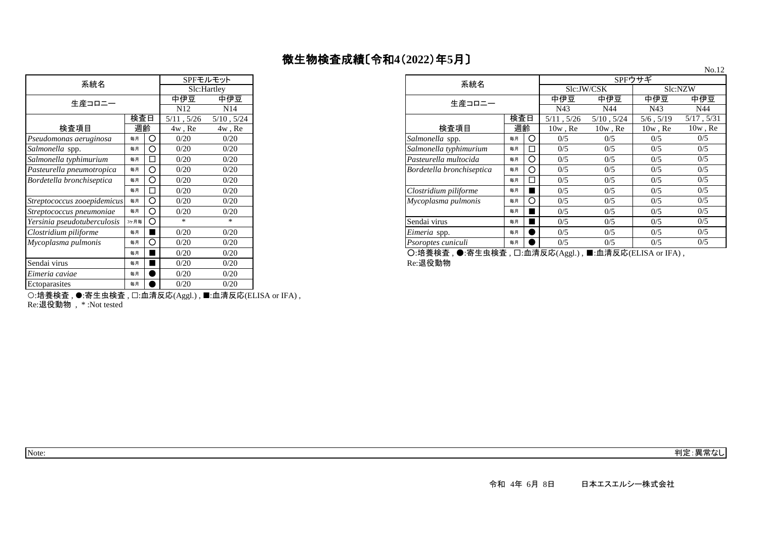| 系統名                         |      |     | SPFモルモット        |                 |  |
|-----------------------------|------|-----|-----------------|-----------------|--|
|                             |      |     |                 | Slc:Hartley     |  |
| 生産コロニー                      |      |     | 中伊豆             | 中伊豆             |  |
|                             |      |     | N <sub>12</sub> | N14             |  |
|                             |      | 検査日 | $5/11$ , $5/26$ | $5/10$ , $5/24$ |  |
| 検査項目                        | 週齡   |     | $4w$ , Re       | $4w$ , Re       |  |
| Pseudomonas aeruginosa      | 毎月   | Ω   | 0/20            | 0/20            |  |
| Salmonella spp.             | 毎月   | Ω   | 0/20            | 0/20            |  |
| Salmonella typhimurium      | 毎月   | П   | 0/20            | 0/20            |  |
| Pasteurella pneumotropica   | 毎月   | ∩   | 0/20            | 0/20            |  |
| Bordetella bronchiseptica   | 毎月   | Ω   | 0/20            | 0/20            |  |
|                             | 毎月   | П   | 0/20            | 0/20            |  |
| Streptococcus zooepidemicus | 毎月   | Ω   | 0/20            | 0/20            |  |
| Streptococcus pneumoniae    | 毎月   | O   | 0/20            | 0/20            |  |
| Yersinia pseudotuberculosis | 3ヶ月毎 | ◯   | *               | $\ast$          |  |
| Clostridium piliforme       | 毎月   |     | 0/20            | 0/20            |  |
| Mycoplasma pulmonis         | 毎月   | O   | 0/20            | 0/20            |  |
|                             | 毎月   |     | 0/20            | 0/20            |  |
| Sendai virus                | 毎月   |     | 0/20            | 0/20            |  |
| Eimeria caviae              | 毎月   |     | 0/20            | 0/20            |  |
| Ectoparasites               | 毎月   |     | 0/20            | 0/20            |  |

| 系統名                         |           |                              |                 | SPFモルモット        |
|-----------------------------|-----------|------------------------------|-----------------|-----------------|
|                             |           |                              | Slc:Hartley     |                 |
| 生産コロニー                      |           |                              | 中伊豆             | 中伊豆             |
|                             |           |                              | N <sub>12</sub> | N <sub>14</sub> |
|                             | 検査日       |                              | 5/11, 5/26      | $5/10$ , $5/24$ |
| 検査項目                        |           | 週齡<br>$4w$ , Re<br>$4w$ , Re |                 |                 |
| Pseudomonas aeruginosa      | 毎月        | O                            | 0/20            | 0/20            |
| Salmonella spp.             | 毎月        | O                            | 0/20            | 0/20            |
| Salmonella typhimurium      | 毎月        | □                            | 0/20            | 0/20            |
| Pasteurella pneumotropica   | 毎月        | O                            | 0/20            | 0/20            |
| Bordetella bronchiseptica   | 毎月        | O                            | 0/20            | 0/20            |
|                             | 毎月        | □                            | 0/20            | 0/20            |
| Streptococcus zooepidemicus | 毎月        | O                            | 0/20            | 0/20            |
| Streptococcus pneumoniae    | 毎月        | O                            | 0/20            | 0/20            |
| Yersinia pseudotuberculosis | 3ヶ月毎      | $\circ$                      | $\ast$          | $\ast$          |
| Clostridium piliforme       | 毎月        |                              | 0/20            | 0/20            |
| Mycoplasma pulmonis         | 毎月        | Ο                            | 0/20            | 0/20            |
|                             | <b>年日</b> |                              | 0/20            | 0/20            |

〇:培養検査 , ●:寄生虫検査 , ❑:皿清反応(Aggl.) , ■:皿清反応(ELISA or IFA) ,<br>Re:退役動物

○:培養検査 , ●:寄生虫検査 , □:血清反応(Aggl.) , ■:血清反応(ELISA or IFA) , Re:退役動物 , \* :Not tested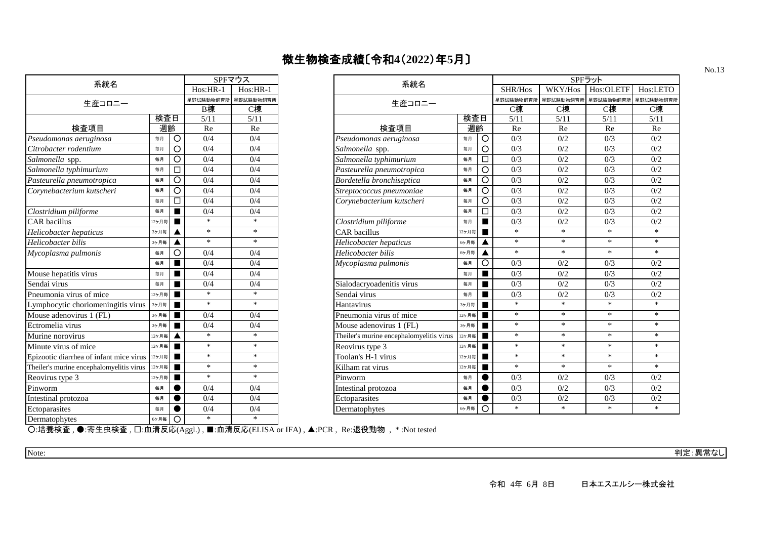| 系統名                                      | SPFマウス |   |            |            |  |  |  |  |
|------------------------------------------|--------|---|------------|------------|--|--|--|--|
|                                          |        |   | $Hos:HR-1$ | $Hos:HR-1$ |  |  |  |  |
| 生産コロニー                                   |        |   | 星野試験動物飼育所  | 星野試験動物飼育所  |  |  |  |  |
|                                          |        |   | B棟         | C棟         |  |  |  |  |
|                                          | 検査日    |   |            |            |  |  |  |  |
| 検査項目                                     | 週齡     |   | Re         | Re         |  |  |  |  |
| Pseudomonas aeruginosa                   | 毎月     | O | 0/4        | 0/4        |  |  |  |  |
| Citrobacter rodentium                    | 毎月     | Ω | 0/4        | 0/4        |  |  |  |  |
| Salmonella spp.                          | 毎月     | O | 0/4        | 0/4        |  |  |  |  |
| Salmonella typhimurium                   | 毎月     | п | 0/4        | 0/4        |  |  |  |  |
| Pasteurella pneumotropica                | 毎月     | O | 0/4        | 0/4        |  |  |  |  |
| Corynebacterium kutscheri                | 毎月     | O | 0/4        | 0/4        |  |  |  |  |
|                                          | 毎月     | П | 0/4        | 0/4        |  |  |  |  |
| Clostridium piliforme                    | 毎月     | ٠ | 0/4        | 0/4        |  |  |  |  |
| <b>CAR</b> bacillus                      | 12ヶ月毎  | ▅ | $\ast$     | $\ast$     |  |  |  |  |
| Helicobacter hepaticus                   | 3ヶ月毎   | ▲ | $\ast$     | $\ast$     |  |  |  |  |
| Helicobacter bilis                       | 3ヶ月毎   | ▲ | $\ast$     | $\ast$     |  |  |  |  |
| Mycoplasma pulmonis                      | 毎月     | O | 0/4        | 0/4        |  |  |  |  |
|                                          | 毎月     |   | 0/4        | 0/4        |  |  |  |  |
| Mouse hepatitis virus                    | 毎月     |   | 0/4        | 0/4        |  |  |  |  |
| Sendai virus                             | 毎月     |   | 0/4        | 0/4        |  |  |  |  |
| Pneumonia virus of mice                  | 12ヶ月毎  |   | $\ast$     | $\ast$     |  |  |  |  |
| Lymphocytic choriomeningitis virus       | 3ヶ月毎   |   | $\ast$     | $\ast$     |  |  |  |  |
| Mouse adenovirus 1 (FL)                  | 3ヶ月毎   | ٠ | 0/4        | 0/4        |  |  |  |  |
| Ectromelia virus                         | 3ヶ月毎   | ▅ | 0/4        | 0/4        |  |  |  |  |
| Murine norovirus                         | 12ヶ月毎  | ▲ | $\ast$     | $\ast$     |  |  |  |  |
| Minute virus of mice                     | 12ヶ月毎  | ▅ | $\ast$     | $\ast$     |  |  |  |  |
| Epizootic diarrhea of infant mice virus  | 12ヶ月毎  | ▅ | $\ast$     | $\ast$     |  |  |  |  |
| Theiler's murine encephalomyelitis virus | 12ヶ月毎  | ▅ | $\ast$     | $\ast$     |  |  |  |  |
| Reovirus type 3                          | 12ヶ月毎  |   | $\ast$     | $\ast$     |  |  |  |  |
| Pinworm                                  | 毎月     |   | 0/4        | 0/4        |  |  |  |  |
| Intestinal protozoa                      | 毎月     |   | 0/4        | 0/4        |  |  |  |  |
| Ectoparasites                            | 毎月     |   | 0/4        | 0/4        |  |  |  |  |
| Dermatophytes                            | 6ヶ月毎   | ◯ | $\ast$     | $\ast$     |  |  |  |  |

| 系統名                                           |                                          |                | SPFマウス     |            |                | 系統名                                      |         |                | SPFラット           |           |           |          |
|-----------------------------------------------|------------------------------------------|----------------|------------|------------|----------------|------------------------------------------|---------|----------------|------------------|-----------|-----------|----------|
|                                               |                                          |                | $Hos:HR-1$ | $Hos:HR-1$ |                |                                          |         |                | SHR/Hos          | WKY/Hos   | Hos:OLETF | Hos:LETO |
| 生産コロニー                                        |                                          |                | 星野試験動物飼育所  | 星野試験動物飼育   |                | 生産コロニー                                   |         | 星野試験動物飼育所      | 星野試験動物飼育         | 星野試験動物飼育所 | 星野試験動物飼育  |          |
|                                               |                                          |                | B棟<br>C棟   |            |                |                                          |         |                | C棟               | C棟        | C棟        | C棟       |
| 検査日                                           |                                          | 5/11           | 5/11       |            |                | 検査日                                      |         | 5/11           | 5/11             | 5/11      | 5/11      |          |
| 検査項目                                          | 週齡                                       |                | Re         | Re         |                | 検査項目                                     | 週齡      |                | Re               | Re        | Re        | Re       |
| Pseudomonas aeruginosa                        | 毎月                                       | $\circ$        | 0/4        | 0/4        |                | Pseudomonas aeruginosa                   | 毎月      | $\circ$        | 0/3              | 0/2       | 0/3       | 0/2      |
| Citrobacter rodentium                         | 毎月                                       | O              | 0/4        | 0/4        |                | Salmonella spp.                          | 毎月      | $\circ$        | 0/3              | 0/2       | 0/3       | 0/2      |
| Salmonella spp.                               | 毎月                                       | O              | 0/4        | 0/4        |                | Salmonella typhimurium                   | 毎月      | $\Box$         | 0/3              | 0/2       | 0/3       | 0/2      |
| Salmonella typhimurium                        | 毎月                                       | □              | 0/4        | 0/4        |                | Pasteurella pneumotropica                | 毎月      | $\circ$        | 0/3              | 0/2       | 0/3       | 0/2      |
| Pasteurella pneumotropica                     | 毎月                                       | O              | 0/4        | 0/4        |                | Bordetella bronchiseptica                | 毎月      | $\circ$        | 0/3              | 0/2       | 0/3       | 0/2      |
| Corynebacterium kutscheri                     | 毎月                                       | O              | 0/4        | 0/4        |                | Streptococcus pneumoniae                 | 毎月      | O              | 0/3              | 0/2       | 0/3       | 0/2      |
|                                               | 毎月                                       | $\Box$         | 0/4        | 0/4        |                | Corynebacterium kutscheri                | 毎月      | $\circ$        | 0/3              | 0/2       | 0/3       | 0/2      |
| Clostridium piliforme                         | 毎月                                       |                | 0/4        | 0/4        |                |                                          | 毎月      | $\Box$         | $\overline{0/3}$ | 0/2       | 0/3       | 0/2      |
| <b>CAR</b> bacillus                           | 12ヶ月毎                                    |                | $\ast$     | $\ast$     |                | Clostridium piliforme                    | П<br>毎月 |                | 0/3              | 0/2       | 0/3       | 0/2      |
| Helicobacter hepaticus                        | $\ast$<br>$\ast$<br>CAR bacillus<br>3ヶ月毎 |                |            | 12ヶ月毎      | $\blacksquare$ | $\ast$                                   | $\ast$  | $\ast$         | $\ast$           |           |           |          |
| Helicobacter bilis                            | 3ヶ月毎                                     |                | $\ast$     | $*$        |                | Helicobacter hepaticus                   | 6ヶ月毎    | ▲              | $*$              | $\ast$    | $*$       | $\ast$   |
| Mycoplasma pulmonis                           | 毎月                                       | O              | 0/4        | 0/4        |                | Helicobacter bilis                       | 6ヶ月毎    |                | $*$              | $\ast$    | $\ast$    | $\ast$   |
|                                               | 毎月                                       | $\blacksquare$ | 0/4        | 0/4        |                | Mycoplasma pulmonis                      | 毎月      | O              | 0/3              | 0/2       | 0/3       | 0/2      |
| Mouse hepatitis virus                         | 毎月                                       |                | 0/4        | 0/4        |                |                                          | 毎月      | П              | 0/3              | 0/2       | 0/3       | 0/2      |
| Sendai virus                                  | 毎月                                       |                | 0/4        | 0/4        |                | Sialodacryoadenitis virus                | 毎月      |                | 0/3              | 0/2       | 0/3       | 0/2      |
| Pneumonia virus of mice                       | 12ヶ月毎                                    |                | $\ast$     | $\ast$     |                | Sendai virus                             | 毎月      |                | 0/3              | 0/2       | 0/3       | 0/2      |
| Lymphocytic choriomeningitis virus            | 3ヶ月毎                                     | ■              | $\ast$     | $\ast$     |                | Hantavirus                               | 3ヶ月毎    | ■              | $\ast$           | $\ast$    | $\ast$    | $\ast$   |
| Mouse adenovirus 1 (FL)                       | 3ヶ月毎                                     | $\blacksquare$ | 0/4        | 0/4        |                | Pneumonia virus of mice                  | 12ヶ月毎   | $\blacksquare$ | $*$              | $*$       | $*$       | $*$      |
| Ectromelia virus                              | 3ヶ月毎                                     |                | 0/4        | 0/4        |                | Mouse adenovirus 1 (FL)                  | 3ヶ月毎    |                | $\ast$           | $\ast$    | $\ast$    | $*$      |
| Murine norovirus                              | 12ヶ月毎                                    |                | $\ast$     | $\ast$     |                | Theiler's murine encephalomyelitis virus | 12ヶ月毎   | п              | $*$              | $*$       | $\ast$    | $*$      |
| Minute virus of mice                          | 12ヶ月毎                                    |                | $\ast$     | $*$        |                | Reovirus type 3                          | 12ヶ月毎   | $\blacksquare$ | $*$              | $\ast$    | $*$       | $*$      |
| Epizootic diarrhea of infant mice virus 127 H |                                          | ■              | $\ast$     | $*$        |                | Toolan's H-1 virus                       | 12ヶ月毎   | п              | $\ast$           | $\ast$    | $*$       | $*$      |
| Theiler's murine encephalomyelitis virus      | 12ヶ月毎                                    |                | $\ast$     | $\ast$     |                | Kilham rat virus                         | 12ヶ月毎   |                | $\ast$           | $\ast$    | $\ast$    | $\ast$   |
| Reovirus type 3                               | 12ヶ月毎                                    | ■              | $\ast$     | $\ast$     |                | Pinworm                                  | 毎月      |                | 0/3              | 0/2       | 0/3       | 0/2      |
| Pinworm                                       | 毎月                                       |                | 0/4        | 0/4        |                | Intestinal protozoa                      | 毎月      |                | 0/3              | 0/2       | 0/3       | 0/2      |
| Intestinal protozoa                           | 毎月                                       |                | 0/4        | 0/4        |                | Ectoparasites                            | 毎月      |                | 0/3              | 0/2       | 0/3       | 0/2      |
| Ectoparasites                                 | 毎月                                       |                | 0/4        | 0/4        |                | Dermatophytes                            | 6ヶ月毎    | $\Omega$       | $\ast$           | $\ast$    | $\ast$    | $\ast$   |
|                                               |                                          |                |            |            |                |                                          |         |                |                  |           |           |          |

○:培養検査 , ●:寄生虫検査 , □:血清反応(Aggl.) , ■:血清反応(ELISA or IFA) , ▲:PCR , Re:退役動物 , \* :Not tested

Note: 判定:異常なし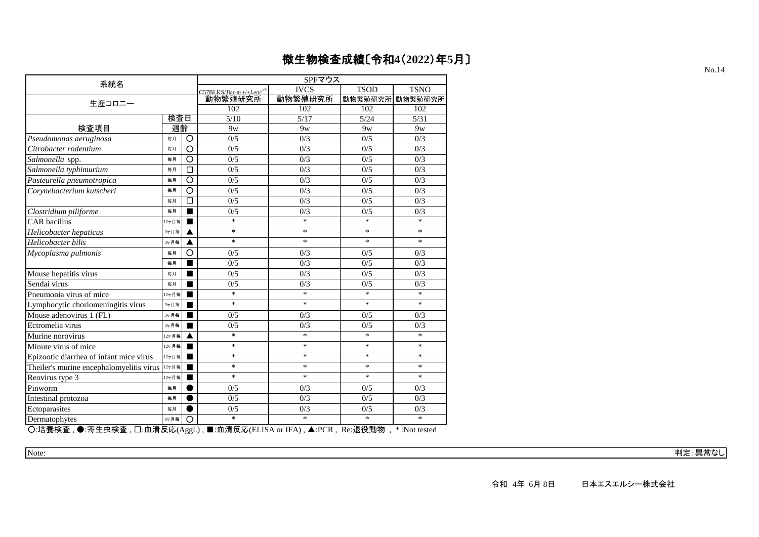| 系統名                                                    |       |                    | SPFマウス                               |                |                       |                        |  |  |  |
|--------------------------------------------------------|-------|--------------------|--------------------------------------|----------------|-----------------------|------------------------|--|--|--|
|                                                        |       |                    | $C57BLKS/Har-m+/+Lenr$ <sup>db</sup> | <b>IVCS</b>    | <b>TSOD</b>           | <b>TSNO</b>            |  |  |  |
| 生産コロニー                                                 |       |                    | 動物繁殖研究所                              | 動物繁殖研究所        | 動物繁殖研究所               | 動物繁殖研究所                |  |  |  |
|                                                        |       |                    | 102                                  | 102            | 102                   | 102                    |  |  |  |
|                                                        | 検査日   | 5/10               | 5/17                                 | 5/24           | 5/31                  |                        |  |  |  |
| 検査項目                                                   | 週齡    |                    | 9 <sub>W</sub>                       | 9 <sub>W</sub> | 9 <sub>W</sub>        | 9 <sub>W</sub>         |  |  |  |
| Pseudomonas aeruginosa                                 | 每月    | O                  | 0/5                                  | 0/3            | 0/5                   | 0/3                    |  |  |  |
| Citrobacter rodentium                                  | 毎月    | $\overline{\circ}$ | 0/5                                  | 0/3            | 0/5                   | 0/3                    |  |  |  |
| Salmonella spp.                                        | 毎月    | O                  | 0/5                                  | 0/3            | 0/5                   | 0/3                    |  |  |  |
| Salmonella typhimurium                                 | 毎月    | □                  | 0/5                                  | 0/3            | 0/5                   | 0/3                    |  |  |  |
| Pasteurella pneumotropica                              | 毎月    | Ō                  | 0/5                                  | 0/3            | 0/5                   | 0/3                    |  |  |  |
| Corynebacterium kutscheri                              | 毎月    | $\circ$            | 0/5                                  | 0/3            | 0/5                   | 0/3                    |  |  |  |
|                                                        | 毎月    | П                  | 0/5                                  | 0/3            | 0/5                   | 0/3                    |  |  |  |
| Clostridium piliforme                                  | 每月    | ∎                  | 0/5                                  | 0/3            | 0/5                   | 0/3                    |  |  |  |
| CAR bacillus                                           | 12ヶ月毎 | ■                  | $\ast$                               | $\ast$         | $\ast$                | $\ast$                 |  |  |  |
| Helicobacter hepaticus                                 | 3ヶ月毎  |                    | $\ast$                               | $\ast$         | $\ast$                | $\ast$                 |  |  |  |
| Helicobacter bilis                                     | 3ヶ月毎  | ▲                  | $\ast$                               | $\ast$         | $\ast$                | $\ast$                 |  |  |  |
| Mycoplasma pulmonis                                    | 毎月    | O                  | 0/5                                  | 0/3            | 0/5                   | 0/3                    |  |  |  |
|                                                        | 每月    |                    | 0/5                                  | 0/3            | 0/5                   | 0/3                    |  |  |  |
| Mouse hepatitis virus                                  | 毎月    | ■                  | 0/5                                  | 0/3            | 0/5                   | 0/3                    |  |  |  |
| Sendai virus                                           | 毎月    |                    | 0/5                                  | 0/3            | 0/5                   | 0/3                    |  |  |  |
| Pneumonia virus of mice                                | 12ヶ月毎 |                    | $\ast$                               | $\ast$         | $\ast$                | $\ast$                 |  |  |  |
| Lymphocytic choriomeningitis virus                     | 3ヶ月毎  | ■                  | $\ast$                               | $\ast$         | $\ast$                | $\ast$                 |  |  |  |
| Mouse adenovirus 1 (FL)                                | 3ヶ月毎  |                    | 0/5                                  | 0/3            | 0/5                   | 0/3                    |  |  |  |
| Ectromelia virus                                       | 3ヶ月毎  | ■                  | 0/5                                  | 0/3            | 0/5                   | 0/3                    |  |  |  |
| Murine norovirus                                       | 12ヶ月毎 |                    | $\ast$                               | $\ast$         | $\ast$                | $\ast$                 |  |  |  |
| Minute virus of mice                                   | 12ヶ月毎 |                    | $\ast$                               | $\ast$         | $\ast$                | $\ast$                 |  |  |  |
| Epizootic diarrhea of infant mice virus                | 12ヶ月毎 | ■                  | $\ast$                               | $\ast$         | $\ast$                | $\ast$                 |  |  |  |
| Theiler's murine encephalomyelitis virus               | 12ヶ月毎 |                    | $\ast$                               | $\ast$         | $\ast$                | $\ast$                 |  |  |  |
| Reovirus type 3                                        | 12ヶ月毎 |                    | $\ast$                               | $\ast$         | $\ast$                | $\ast$                 |  |  |  |
| Pinworm                                                | 毎月    |                    | 0/5                                  | 0/3            | 0/5                   | 0/3                    |  |  |  |
| Intestinal protozoa                                    | 毎月    |                    | 0/5                                  | 0/3            | 0/5                   | 0/3                    |  |  |  |
| Ectoparasites                                          | 每月    |                    | 0/5                                  | 0/3            | 0/5                   | 0/3                    |  |  |  |
| Dermatophytes                                          | 6ヶ月毎  | O                  | $\ast$                               | $\ast$         | $\ast$                | $\ast$                 |  |  |  |
| ∩·拉莱焓本 ▲·安生由埝本 □·血清反応(Aggl) ■·血清反応(ELISA or IEA) ▲·DCD |       |                    |                                      |                | <b>D</b> ⊙ - 追 犯 話⊨ 地 | $*$ $\cdot$ Mot tootad |  |  |  |

○:培養検査 , ●:寄生虫検査 , □:血清反応(Aggl.) , ■:血清反応(ELISA or IFA) , ▲:PCR , Re:退役動物 , \* :Not tested

Note: 判定:異常なし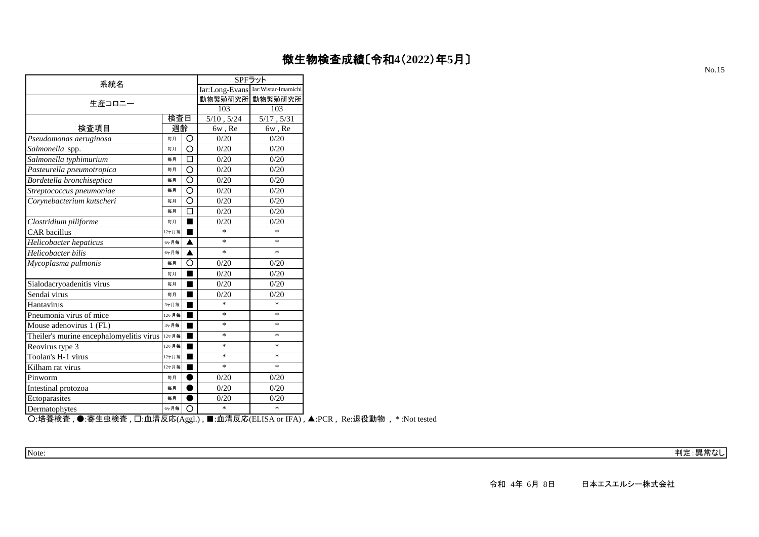| 系統名                                      | SPFラット          |                                    |        |        |  |  |
|------------------------------------------|-----------------|------------------------------------|--------|--------|--|--|
|                                          |                 | Iar:Long-Evans Iar:Wistar-Imamichi |        |        |  |  |
| 生産コロニー                                   | 動物繁殖研究所         | 動物繁殖研究所                            |        |        |  |  |
|                                          | 103             | 103                                |        |        |  |  |
|                                          | $5/10$ , $5/24$ | 5/17, 5/31                         |        |        |  |  |
| 検査項目                                     | 週齡              |                                    | 6w, Re | 6w, Re |  |  |
| Pseudomonas aeruginosa                   | 毎月              | Ο                                  | 0/20   | 0/20   |  |  |
| Salmonella spp.                          | 每月              | O                                  | 0/20   | 0/20   |  |  |
| Salmonella typhimurium                   | 毎月              | □                                  | 0/20   | 0/20   |  |  |
| Pasteurella pneumotropica                | 毎月              | O                                  | 0/20   | 0/20   |  |  |
| Bordetella bronchiseptica                | 毎月              | O                                  | 0/20   | 0/20   |  |  |
| Streptococcus pneumoniae                 | 毎月              | О                                  | 0/20   | 0/20   |  |  |
| Corynebacterium kutscheri                | 毎月              | Ω                                  | 0/20   | 0/20   |  |  |
|                                          | 毎月              | П                                  | 0/20   | 0/20   |  |  |
| Clostridium piliforme                    | 毎月              |                                    | 0/20   | 0/20   |  |  |
| <b>CAR</b> bacillus                      | 12ヶ月毎           | ■                                  | *      | $\ast$ |  |  |
| Helicobacter hepaticus                   | 6ヶ月毎            | ▲                                  | $\ast$ | $\ast$ |  |  |
| Helicobacter bilis                       | 6ヶ月毎            | ▲                                  | $\ast$ | $\ast$ |  |  |
| Mycoplasma pulmonis                      | 毎月              | О                                  | 0/20   | 0/20   |  |  |
|                                          | 毎月              |                                    | 0/20   | 0/20   |  |  |
| Sialodacryoadenitis virus                | 毎月              |                                    | 0/20   | 0/20   |  |  |
| Sendai virus                             | 毎月              |                                    | 0/20   | 0/20   |  |  |
| Hantavirus                               | 3ヶ月毎            | ٠                                  | $\ast$ | $\ast$ |  |  |
| Pneumonia virus of mice                  | 12ヶ月毎           |                                    | $\ast$ | $\ast$ |  |  |
| Mouse adenovirus 1 (FL)                  | 3ヶ月毎            |                                    | $\ast$ | $\ast$ |  |  |
| Theiler's murine encephalomyelitis virus | 12ヶ月毎           |                                    | $\ast$ | $\ast$ |  |  |
| Reovirus type 3                          | 12ヶ月毎           |                                    | $\ast$ | $\ast$ |  |  |
| Toolan's H-1 virus                       | 12ヶ月毎           |                                    | *      | $\ast$ |  |  |
| Kilham rat virus                         | 12ヶ月毎           |                                    | $\ast$ | $\ast$ |  |  |
| Pinworm                                  | 毎月              |                                    | 0/20   | 0/20   |  |  |
| Intestinal protozoa                      | 毎月              |                                    | 0/20   | 0/20   |  |  |
| Ectoparasites                            | 毎月              |                                    | 0/20   | 0/20   |  |  |
| Dermatophytes                            | 6ヶ月毎            | O                                  | *      | $\ast$ |  |  |

○:培養検査 , ●:寄生虫検査 , □:血清反応(Aggl.) , ■:血清反応(ELISA or IFA) , ▲:PCR , Re:退役動物 , \* :Not tested

Note: 判定:異常なし